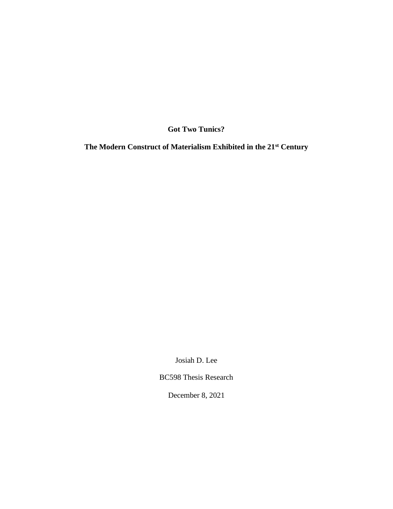**Got Two Tunics?**

**The Modern Construct of Materialism Exhibited in the 21st Century**

Josiah D. Lee

BC598 Thesis Research

December 8, 2021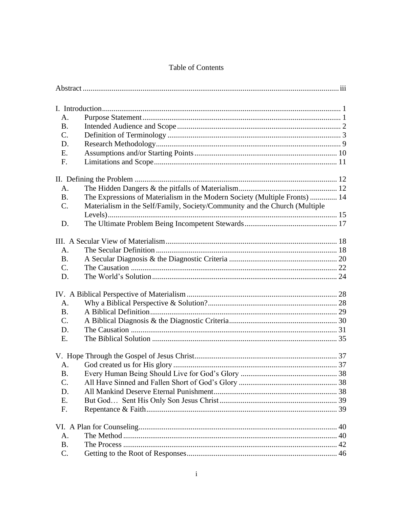# Table of Contents

| А.             |                                                                            |  |
|----------------|----------------------------------------------------------------------------|--|
| <b>B.</b>      |                                                                            |  |
| $C_{\cdot}$    |                                                                            |  |
| D.             |                                                                            |  |
| E.             |                                                                            |  |
| F.             |                                                                            |  |
|                |                                                                            |  |
|                |                                                                            |  |
| A.             |                                                                            |  |
| <b>B.</b>      | The Expressions of Materialism in the Modern Society (Multiple Fronts)  14 |  |
| C.             | Materialism in the Self/Family, Society/Community and the Church (Multiple |  |
|                |                                                                            |  |
| D.             |                                                                            |  |
|                |                                                                            |  |
|                |                                                                            |  |
| A <sub>1</sub> |                                                                            |  |
| <b>B.</b>      |                                                                            |  |
| C.             |                                                                            |  |
| D.             |                                                                            |  |
|                |                                                                            |  |
| A.             |                                                                            |  |
| <b>B.</b>      |                                                                            |  |
| C.             |                                                                            |  |
|                |                                                                            |  |
| D.<br>E.       |                                                                            |  |
|                |                                                                            |  |
|                |                                                                            |  |
| A.             |                                                                            |  |
| <b>B.</b>      |                                                                            |  |
| C.             |                                                                            |  |
| D.             |                                                                            |  |
| E.             |                                                                            |  |
| F.             |                                                                            |  |
|                |                                                                            |  |
|                |                                                                            |  |
| A.             |                                                                            |  |
| <b>B.</b>      |                                                                            |  |
| C.             |                                                                            |  |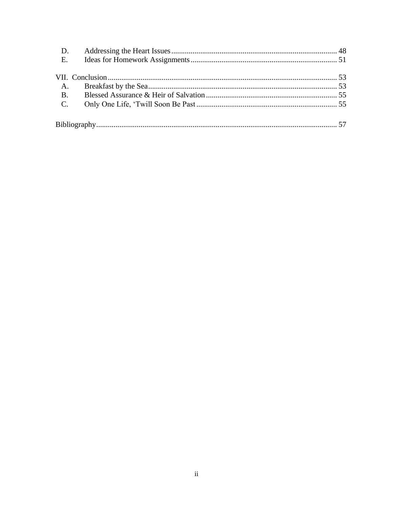| D.             |  |
|----------------|--|
| E.             |  |
|                |  |
| A.             |  |
| <b>B.</b>      |  |
| $\mathbf{C}$ . |  |
|                |  |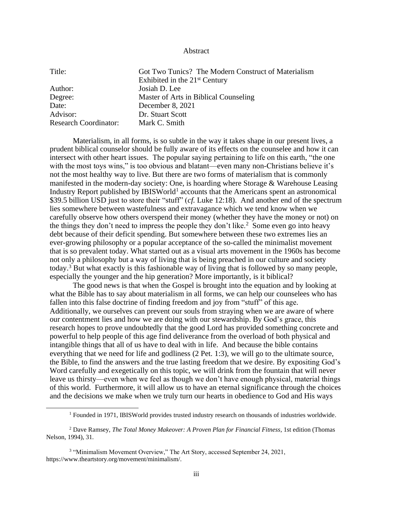#### Abstract

<span id="page-3-0"></span>

| Got Two Tunics? The Modern Construct of Materialism |
|-----------------------------------------------------|
| Exhibited in the $21st$ Century                     |
| Josiah D. Lee                                       |
| Master of Arts in Biblical Counseling               |
| December 8, 2021                                    |
| Dr. Stuart Scott                                    |
| Mark C. Smith                                       |
|                                                     |

Materialism, in all forms, is so subtle in the way it takes shape in our present lives, a prudent biblical counselor should be fully aware of its effects on the counselee and how it can intersect with other heart issues. The popular saying pertaining to life on this earth, "the one with the most toys wins," is too obvious and blatant—even many non-Christians believe it's not the most healthy way to live. But there are two forms of materialism that is commonly manifested in the modern-day society: One, is hoarding where Storage  $\&$  Warehouse Leasing Industry Report published by IBISWorld<sup>1</sup> accounts that the Americans spent an astronomical \$39.5 billion USD just to store their "stuff" (*cf.* Luke 12:18). And another end of the spectrum lies somewhere between wastefulness and extravagance which we tend know when we carefully observe how others overspend their money (whether they have the money or not) on the things they don't need to impress the people they don't like.<sup>2</sup> Some even go into heavy debt because of their deficit spending. But somewhere between these two extremes lies an ever-growing philosophy or a popular acceptance of the so-called the minimalist movement that is so prevalent today. What started out as a visual arts movement in the 1960s has become not only a philosophy but a way of living that is being preached in our culture and society today.<sup>3</sup> But what exactly is this fashionable way of living that is followed by so many people, especially the younger and the hip generation? More importantly, is it biblical?

The good news is that when the Gospel is brought into the equation and by looking at what the Bible has to say about materialism in all forms, we can help our counselees who has fallen into this false doctrine of finding freedom and joy from "stuff" of this age. Additionally, we ourselves can prevent our souls from straying when we are aware of where our contentment lies and how we are doing with our stewardship. By God's grace, this research hopes to prove undoubtedly that the good Lord has provided something concrete and powerful to help people of this age find deliverance from the overload of both physical and intangible things that all of us have to deal with in life. And because the bible contains everything that we need for life and godliness (2 Pet. 1:3), we will go to the ultimate source, the Bible, to find the answers and the true lasting freedom that we desire. By expositing God's Word carefully and exegetically on this topic, we will drink from the fountain that will never leave us thirsty—even when we feel as though we don't have enough physical, material things of this world. Furthermore, it will allow us to have an eternal significance through the choices and the decisions we make when we truly turn our hearts in obedience to God and His ways

 $<sup>1</sup>$  Founded in 1971, IBISWorld provides trusted industry research on thousands of industries worldwide.</sup>

<sup>2</sup> Dave Ramsey, *The Total Money Makeover: A Proven Plan for Financial Fitness*, 1st edition (Thomas Nelson, 1994), 31.

<sup>&</sup>lt;sup>3</sup> "Minimalism Movement Overview," The Art Story, accessed September 24, 2021, https://www.theartstory.org/movement/minimalism/.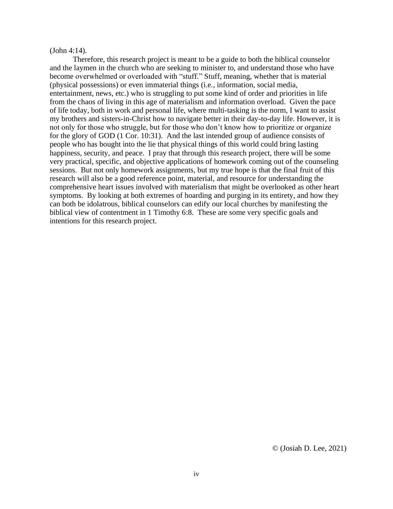#### (John 4:14).

Therefore, this research project is meant to be a guide to both the biblical counselor and the laymen in the church who are seeking to minister to, and understand those who have become overwhelmed or overloaded with "stuff." Stuff, meaning, whether that is material (physical possessions) or even immaterial things (i.e., information, social media, entertainment, news, etc.) who is struggling to put some kind of order and priorities in life from the chaos of living in this age of materialism and information overload. Given the pace of life today, both in work and personal life, where multi-tasking is the norm, I want to assist my brothers and sisters-in-Christ how to navigate better in their day-to-day life. However, it is not only for those who struggle, but for those who don't know how to prioritize or organize for the glory of GOD (1 Cor. 10:31). And the last intended group of audience consists of people who has bought into the lie that physical things of this world could bring lasting happiness, security, and peace. I pray that through this research project, there will be some very practical, specific, and objective applications of homework coming out of the counseling sessions. But not only homework assignments, but my true hope is that the final fruit of this research will also be a good reference point, material, and resource for understanding the comprehensive heart issues involved with materialism that might be overlooked as other heart symptoms. By looking at both extremes of hoarding and purging in its entirety, and how they can both be idolatrous, biblical counselors can edify our local churches by manifesting the biblical view of contentment in 1 Timothy 6:8. These are some very specific goals and intentions for this research project.

© (Josiah D. Lee, 2021)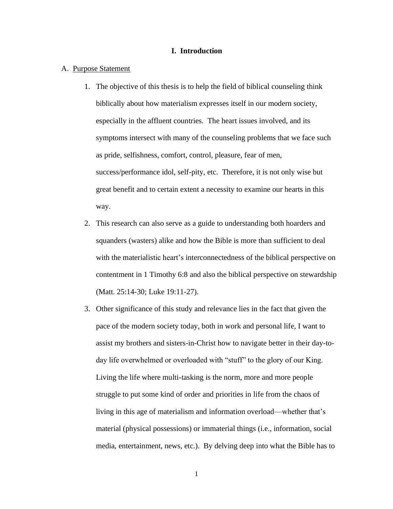#### **I. Introduction**

<span id="page-5-1"></span><span id="page-5-0"></span>A. Purpose Statement

- 1. The objective of this thesis is to help the field of biblical counseling think biblically about how materialism expresses itself in our modern society, especially in the affluent countries. The heart issues involved, and its symptoms intersect with many of the counseling problems that we face such as pride, selfishness, comfort, control, pleasure, fear of men, success/performance idol, self-pity, etc. Therefore, it is not only wise but great benefit and to certain extent a necessity to examine our hearts in this way.
- 2. This research can also serve as a guide to understanding both hoarders and squanders (wasters) alike and how the Bible is more than sufficient to deal with the materialistic heart's interconnectedness of the biblical perspective on contentment in 1 Timothy 6:8 and also the biblical perspective on stewardship (Matt. 25:14-30; Luke 19:11-27).
- 3. Other significance of this study and relevance lies in the fact that given the pace of the modern society today, both in work and personal life, I want to assist my brothers and sisters-in-Christ how to navigate better in their day-today life overwhelmed or overloaded with "stuff" to the glory of our King. Living the life where multi-tasking is the norm, more and more people struggle to put some kind of order and priorities in life from the chaos of living in this age of materialism and information overload—whether that's material (physical possessions) or immaterial things (i.e., information, social media, entertainment, news, etc.). By delving deep into what the Bible has to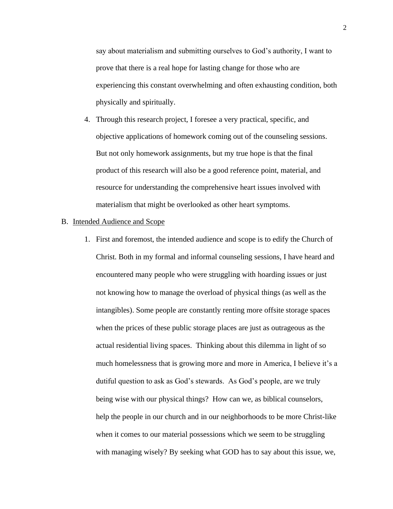say about materialism and submitting ourselves to God's authority, I want to prove that there is a real hope for lasting change for those who are experiencing this constant overwhelming and often exhausting condition, both physically and spiritually.

- 4. Through this research project, I foresee a very practical, specific, and objective applications of homework coming out of the counseling sessions. But not only homework assignments, but my true hope is that the final product of this research will also be a good reference point, material, and resource for understanding the comprehensive heart issues involved with materialism that might be overlooked as other heart symptoms.
- <span id="page-6-0"></span>B. Intended Audience and Scope
	- 1. First and foremost, the intended audience and scope is to edify the Church of Christ. Both in my formal and informal counseling sessions, I have heard and encountered many people who were struggling with hoarding issues or just not knowing how to manage the overload of physical things (as well as the intangibles). Some people are constantly renting more offsite storage spaces when the prices of these public storage places are just as outrageous as the actual residential living spaces. Thinking about this dilemma in light of so much homelessness that is growing more and more in America, I believe it's a dutiful question to ask as God's stewards. As God's people, are we truly being wise with our physical things? How can we, as biblical counselors, help the people in our church and in our neighborhoods to be more Christ-like when it comes to our material possessions which we seem to be struggling with managing wisely? By seeking what GOD has to say about this issue, we,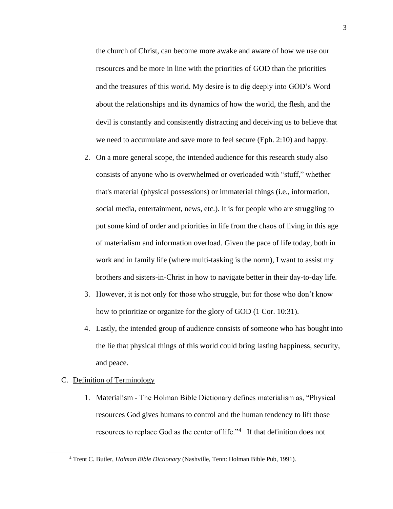the church of Christ, can become more awake and aware of how we use our resources and be more in line with the priorities of GOD than the priorities and the treasures of this world. My desire is to dig deeply into GOD's Word about the relationships and its dynamics of how the world, the flesh, and the devil is constantly and consistently distracting and deceiving us to believe that we need to accumulate and save more to feel secure (Eph. 2:10) and happy.

- 2. On a more general scope, the intended audience for this research study also consists of anyone who is overwhelmed or overloaded with "stuff," whether that's material (physical possessions) or immaterial things (i.e., information, social media, entertainment, news, etc.). It is for people who are struggling to put some kind of order and priorities in life from the chaos of living in this age of materialism and information overload. Given the pace of life today, both in work and in family life (where multi-tasking is the norm), I want to assist my brothers and sisters-in-Christ in how to navigate better in their day-to-day life.
- 3. However, it is not only for those who struggle, but for those who don't know how to prioritize or organize for the glory of GOD (1 Cor. 10:31).
- 4. Lastly, the intended group of audience consists of someone who has bought into the lie that physical things of this world could bring lasting happiness, security, and peace.

# <span id="page-7-0"></span>C. Definition of Terminology

1. Materialism - The Holman Bible Dictionary defines materialism as, "Physical resources God gives humans to control and the human tendency to lift those resources to replace God as the center of life."<sup>4</sup> If that definition does not

<sup>4</sup> Trent C. Butler, *Holman Bible Dictionary* (Nashville, Tenn: Holman Bible Pub, 1991).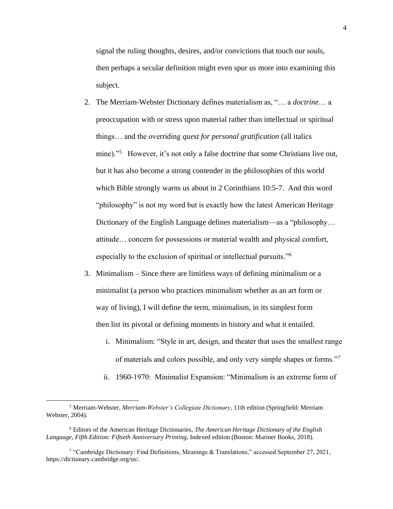signal the ruling thoughts, desires, and/or convictions that touch our souls, then perhaps a secular definition might even spur us more into examining this subject.

- 2. The Merriam-Webster Dictionary defines materialism as, "… a *doctrine*… a preoccupation with or stress upon material rather than intellectual or spiritual things… and the overriding *quest for personal gratification* (all italics mine)."<sup>5</sup> However, it's not only a false doctrine that some Christians live out, but it has also become a strong contender in the philosophies of this world which Bible strongly warns us about in 2 Corinthians 10:5-7. And this word "philosophy" is not my word but is exactly how the latest American Heritage Dictionary of the English Language defines materialism—as a "philosophy… attitude… concern for possessions or material wealth and physical comfort, especially to the exclusion of spiritual or intellectual pursuits."<sup>6</sup>
- 3. Minimalism Since there are limitless ways of defining minimalism or a minimalist (a person who practices minimalism whether as an art form or way of living), I will define the term, minimalism, in its simplest form then list its pivotal or defining moments in history and what it entailed.
	- i. Minimalism: "Style in art, design, and theater that uses the smallest range of materials and colors possible, and only very simple shapes or forms."<sup>7</sup>
	- ii. 1960-1970: Minimalist Expansion: "Minimalism is an extreme form of

<sup>5</sup> Merriam-Webster, *Merriam-Webster's Collegiate Dictionary*, 11th edition (Springfield: Merriam Webster, 2004).

<sup>6</sup> Editors of the American Heritage Dictionaries, *The American Heritage Dictionary of the English Language, Fifth Edition: Fiftieth Anniversary Printing*, Indexed edition (Boston: Mariner Books, 2018).

<sup>&</sup>lt;sup>7</sup> "Cambridge Dictionary: Find Definitions, Meanings & Translations," accessed September 27, 2021, https://dictionary.cambridge.org/us/.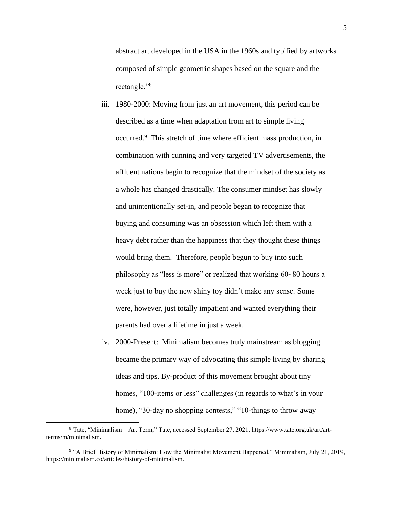abstract art developed in the USA in the 1960s and typified by artworks composed of simple geometric shapes based on the square and the rectangle."<sup>8</sup>

- iii. 1980-2000: Moving from just an art movement, this period can be described as a time when adaptation from art to simple living occurred.<sup>9</sup> This stretch of time where efficient mass production, in combination with cunning and very targeted TV advertisements, the affluent nations begin to recognize that the mindset of the society as a whole has changed drastically. The consumer mindset has slowly and unintentionally set-in, and people began to recognize that buying and consuming was an obsession which left them with a heavy debt rather than the happiness that they thought these things would bring them. Therefore, people begun to buy into such philosophy as "less is more" or realized that working 60~80 hours a week just to buy the new shiny toy didn't make any sense. Some were, however, just totally impatient and wanted everything their parents had over a lifetime in just a week.
- iv. 2000-Present: Minimalism becomes truly mainstream as blogging became the primary way of advocating this simple living by sharing ideas and tips. By-product of this movement brought about tiny homes, "100-items or less" challenges (in regards to what's in your home), "30-day no shopping contests," "10-things to throw away

<sup>8</sup> Tate, "Minimalism – Art Term," Tate, accessed September 27, 2021, https://www.tate.org.uk/art/artterms/m/minimalism.

<sup>&</sup>lt;sup>9</sup> "A Brief History of Minimalism: How the Minimalist Movement Happened," Minimalism, July 21, 2019, https://minimalism.co/articles/history-of-minimalism.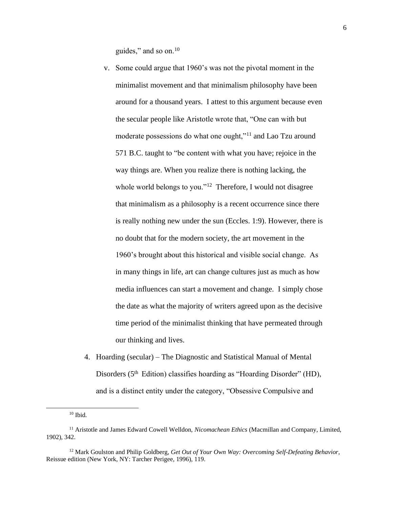guides," and so on.<sup>10</sup>

- v. Some could argue that 1960's was not the pivotal moment in the minimalist movement and that minimalism philosophy have been around for a thousand years. I attest to this argument because even the secular people like Aristotle wrote that, "One can with but moderate possessions do what one ought,"<sup>11</sup> and Lao Tzu around 571 B.C. taught to "be content with what you have; rejoice in the way things are. When you realize there is nothing lacking, the whole world belongs to you."<sup>12</sup> Therefore, I would not disagree that minimalism as a philosophy is a recent occurrence since there is really nothing new under the sun (Eccles. 1:9). However, there is no doubt that for the modern society, the art movement in the 1960's brought about this historical and visible social change. As in many things in life, art can change cultures just as much as how media influences can start a movement and change. I simply chose the date as what the majority of writers agreed upon as the decisive time period of the minimalist thinking that have permeated through our thinking and lives.
- 4. Hoarding (secular) The Diagnostic and Statistical Manual of Mental Disorders (5<sup>th</sup> Edition) classifies hoarding as "Hoarding Disorder" (HD), and is a distinct entity under the category, "Obsessive Compulsive and

 $10$  Ibid.

<sup>11</sup> Aristotle and James Edward Cowell Welldon, *Nicomachean Ethics* (Macmillan and Company, Limited, 1902), 342.

<sup>12</sup> Mark Goulston and Philip Goldberg, *Get Out of Your Own Way: Overcoming Self-Defeating Behavior*, Reissue edition (New York, NY: Tarcher Perigee, 1996), 119.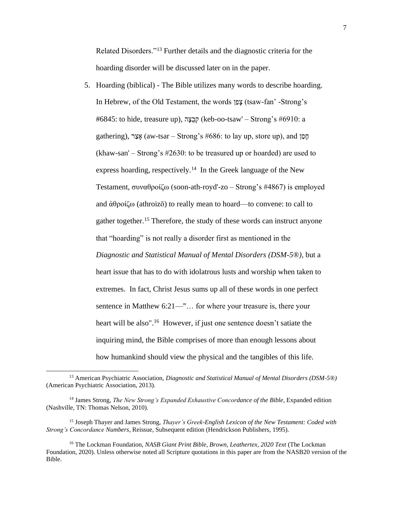Related Disorders."<sup>13</sup> Further details and the diagnostic criteria for the hoarding disorder will be discussed later on in the paper.

5. Hoarding (biblical) - The Bible utilizes many words to describe hoarding. In Hebrew, of the Old Testament, the words ןַפָצ) tsaw-fan' -Strong's #6845: to hide, treasure up), הְבָצָה (keb-oo-tsaw' – Strong's #6910: a gathering), רַצ ָא) aw-tsar – Strong's #686: to lay up, store up), and ןַסָח (khaw-san' – Strong's #2630: to be treasured up or hoarded) are used to express hoarding, respectively.<sup>14</sup> In the Greek language of the New Testament, συναθροίζω (soon-ath-royd'-zo – Strong's #4867) is employed and ἀθροίζω (athroizō) to really mean to hoard—to convene: to call to gather together.<sup>15</sup> Therefore, the study of these words can instruct anyone that "hoarding" is not really a disorder first as mentioned in the *Diagnostic and Statistical Manual of Mental Disorders (DSM-5®),* but a heart issue that has to do with idolatrous lusts and worship when taken to extremes. In fact, Christ Jesus sums up all of these words in one perfect sentence in Matthew 6:21—"... for where your treasure is, there your heart will be also".<sup>16</sup> However, if just one sentence doesn't satiate the inquiring mind, the Bible comprises of more than enough lessons about how humankind should view the physical and the tangibles of this life.

<sup>13</sup> American Psychiatric Association, *Diagnostic and Statistical Manual of Mental Disorders (DSM-5®)* (American Psychiatric Association, 2013).

<sup>14</sup> James Strong, *The New Strong's Expanded Exhaustive Concordance of the Bible*, Expanded edition (Nashville, TN: Thomas Nelson, 2010).

<sup>15</sup> Joseph Thayer and James Strong, *Thayer's Greek-English Lexicon of the New Testament: Coded with Strong's Concordance Numbers*, Reissue, Subsequent edition (Hendrickson Publishers, 1995).

<sup>16</sup> The Lockman Foundation, *NASB Giant Print Bible, Brown, Leathertex, 2020 Text* (The Lockman Foundation, 2020). Unless otherwise noted all Scripture quotations in this paper are from the NASB20 version of the Bible.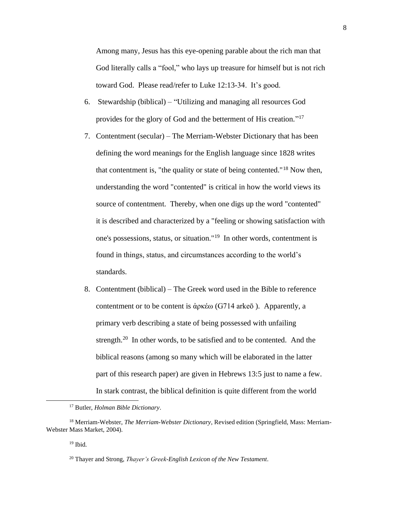Among many, Jesus has this eye-opening parable about the rich man that God literally calls a "fool," who lays up treasure for himself but is not rich toward God. Please read/refer to Luke 12:13-34. It's good.

- 6. Stewardship (biblical) "Utilizing and managing all resources God provides for the glory of God and the betterment of His creation."<sup>17</sup>
- 7. Contentment (secular) The Merriam-Webster Dictionary that has been defining the word meanings for the English language since 1828 writes that contentment is, "the quality or state of being contented."<sup>18</sup> Now then, understanding the word "contented" is critical in how the world views its source of contentment. Thereby, when one digs up the word "contented" it is described and characterized by a "feeling or showing satisfaction with one's possessions, status, or situation."<sup>19</sup> In other words, contentment is found in things, status, and circumstances according to the world's standards.
- 8. Contentment (biblical) The Greek word used in the Bible to reference contentment or to be content is ἀρκέω (G714 arkeō ). Apparently, a primary verb describing a state of being possessed with unfailing strength.<sup>20</sup> In other words, to be satisfied and to be contented. And the biblical reasons (among so many which will be elaborated in the latter part of this research paper) are given in Hebrews 13:5 just to name a few. In stark contrast, the biblical definition is quite different from the world

<sup>17</sup> Butler, *Holman Bible Dictionary*.

<sup>18</sup> Merriam-Webster, *The Merriam-Webster Dictionary*, Revised edition (Springfield, Mass: Merriam-Webster Mass Market, 2004).

 $19$  Ibid.

<sup>20</sup> Thayer and Strong, *Thayer's Greek-English Lexicon of the New Testament*.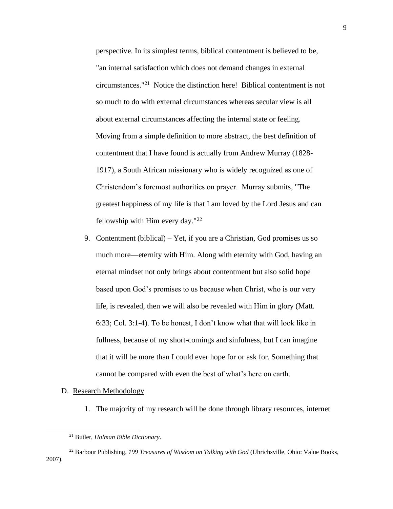perspective. In its simplest terms, biblical contentment is believed to be, "an internal satisfaction which does not demand changes in external circumstances."<sup>21</sup> Notice the distinction here! Biblical contentment is not so much to do with external circumstances whereas secular view is all about external circumstances affecting the internal state or feeling. Moving from a simple definition to more abstract, the best definition of contentment that I have found is actually from Andrew Murray (1828- 1917), a South African missionary who is widely recognized as one of Christendom's foremost authorities on prayer. Murray submits, "The greatest happiness of my life is that I am loved by the Lord Jesus and can fellowship with Him every day."<sup>22</sup>

- 9. Contentment (biblical) Yet, if you are a Christian, God promises us so much more—eternity with Him. Along with eternity with God, having an eternal mindset not only brings about contentment but also solid hope based upon God's promises to us because when Christ, who is our very life, is revealed, then we will also be revealed with Him in glory (Matt. 6:33; Col. 3:1-4). To be honest, I don't know what that will look like in fullness, because of my short-comings and sinfulness, but I can imagine that it will be more than I could ever hope for or ask for. Something that cannot be compared with even the best of what's here on earth.
- <span id="page-13-0"></span>D. Research Methodology
	- 1. The majority of my research will be done through library resources, internet

<sup>21</sup> Butler, *Holman Bible Dictionary*.

<sup>22</sup> Barbour Publishing, *199 Treasures of Wisdom on Talking with God* (Uhrichsville, Ohio: Value Books, 2007).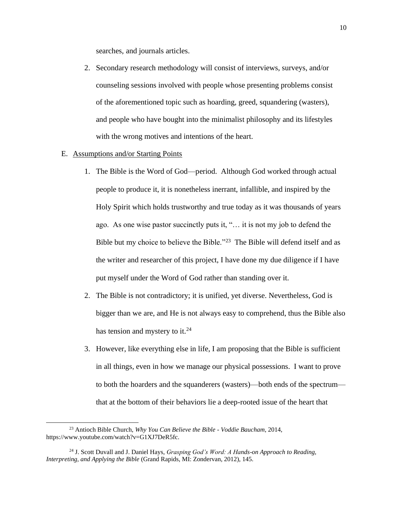searches, and journals articles.

- 2. Secondary research methodology will consist of interviews, surveys, and/or counseling sessions involved with people whose presenting problems consist of the aforementioned topic such as hoarding, greed, squandering (wasters), and people who have bought into the minimalist philosophy and its lifestyles with the wrong motives and intentions of the heart.
- <span id="page-14-0"></span>E. Assumptions and/or Starting Points
	- 1. The Bible is the Word of God—period. Although God worked through actual people to produce it, it is nonetheless inerrant, infallible, and inspired by the Holy Spirit which holds trustworthy and true today as it was thousands of years ago. As one wise pastor succinctly puts it, "… it is not my job to defend the Bible but my choice to believe the Bible."<sup>23</sup> The Bible will defend itself and as the writer and researcher of this project, I have done my due diligence if I have put myself under the Word of God rather than standing over it.
	- 2. The Bible is not contradictory; it is unified, yet diverse. Nevertheless, God is bigger than we are, and He is not always easy to comprehend, thus the Bible also has tension and mystery to it.<sup>24</sup>
	- 3. However, like everything else in life, I am proposing that the Bible is sufficient in all things, even in how we manage our physical possessions. I want to prove to both the hoarders and the squanderers (wasters)—both ends of the spectrum that at the bottom of their behaviors lie a deep-rooted issue of the heart that

<sup>23</sup> Antioch Bible Church, *Why You Can Believe the Bible - Voddie Baucham*, 2014, https://www.youtube.com/watch?v=G1XJ7DeR5fc.

<sup>24</sup> J. Scott Duvall and J. Daniel Hays, *Grasping God's Word: A Hands-on Approach to Reading, Interpreting, and Applying the Bible* (Grand Rapids, MI: Zondervan, 2012), 145.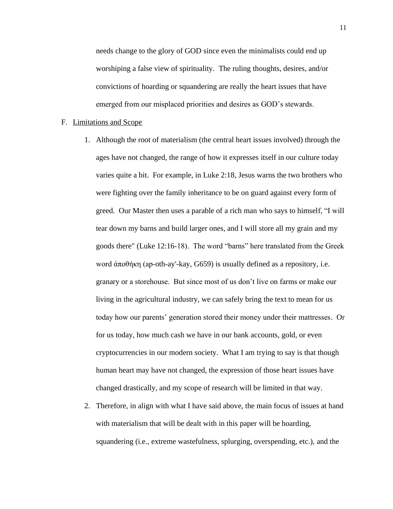needs change to the glory of GOD since even the minimalists could end up worshiping a false view of spirituality. The ruling thoughts, desires, and/or convictions of hoarding or squandering are really the heart issues that have emerged from our misplaced priorities and desires as GOD's stewards.

#### <span id="page-15-0"></span>F. Limitations and Scope

- 1. Although the root of materialism (the central heart issues involved) through the ages have not changed, the range of how it expresses itself in our culture today varies quite a bit. For example, in Luke 2:18, Jesus warns the two brothers who were fighting over the family inheritance to be on guard against every form of greed. Our Master then uses a parable of a rich man who says to himself, "I will tear down my barns and build larger ones, and I will store all my grain and my goods there" (Luke 12:16-18). The word "barns" here translated from the Greek word ἀποθήκη (ap-oth-ay'-kay, G659) is usually defined as a repository, i.e. granary or a storehouse. But since most of us don't live on farms or make our living in the agricultural industry, we can safely bring the text to mean for us today how our parents' generation stored their money under their mattresses. Or for us today, how much cash we have in our bank accounts, gold, or even cryptocurrencies in our modern society. What I am trying to say is that though human heart may have not changed, the expression of those heart issues have changed drastically, and my scope of research will be limited in that way.
- 2. Therefore, in align with what I have said above, the main focus of issues at hand with materialism that will be dealt with in this paper will be hoarding, squandering (i.e., extreme wastefulness, splurging, overspending, etc.), and the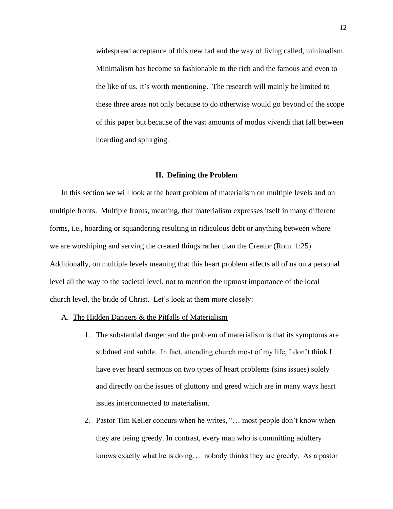widespread acceptance of this new fad and the way of living called, minimalism. Minimalism has become so fashionable to the rich and the famous and even to the like of us, it's worth mentioning. The research will mainly be limited to these three areas not only because to do otherwise would go beyond of the scope of this paper but because of the vast amounts of modus vivendi that fall between hoarding and splurging.

#### **II. Defining the Problem**

<span id="page-16-0"></span>In this section we will look at the heart problem of materialism on multiple levels and on multiple fronts. Multiple fronts, meaning, that materialism expresses itself in many different forms, i.e., hoarding or squandering resulting in ridiculous debt or anything between where we are worshiping and serving the created things rather than the Creator (Rom. 1:25). Additionally, on multiple levels meaning that this heart problem affects all of us on a personal level all the way to the societal level, not to mention the upmost importance of the local church level, the bride of Christ. Let's look at them more closely:

- <span id="page-16-1"></span>A. The Hidden Dangers & the Pitfalls of Materialism
	- 1. The substantial danger and the problem of materialism is that its symptoms are subdued and subtle. In fact, attending church most of my life, I don't think I have ever heard sermons on two types of heart problems (sins issues) solely and directly on the issues of gluttony and greed which are in many ways heart issues interconnected to materialism.
	- 2. Pastor Tim Keller concurs when he writes, "… most people don't know when they are being greedy. In contrast, every man who is committing adultery knows exactly what he is doing… nobody thinks they are greedy. As a pastor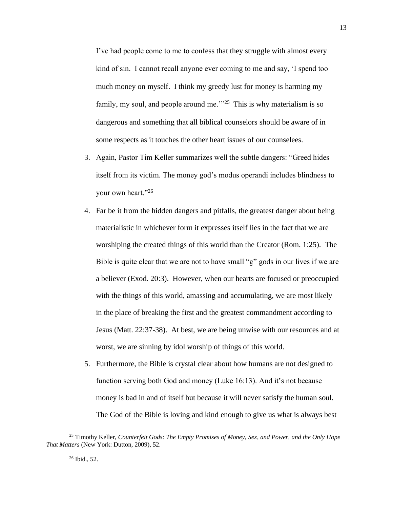I've had people come to me to confess that they struggle with almost every kind of sin. I cannot recall anyone ever coming to me and say, 'I spend too much money on myself. I think my greedy lust for money is harming my family, my soul, and people around me.<sup>2125</sup> This is why materialism is so dangerous and something that all biblical counselors should be aware of in some respects as it touches the other heart issues of our counselees.

- 3. Again, Pastor Tim Keller summarizes well the subtle dangers: "Greed hides itself from its victim. The money god's modus operandi includes blindness to your own heart."26
- 4. Far be it from the hidden dangers and pitfalls, the greatest danger about being materialistic in whichever form it expresses itself lies in the fact that we are worshiping the created things of this world than the Creator (Rom. 1:25). The Bible is quite clear that we are not to have small "g" gods in our lives if we are a believer (Exod. 20:3). However, when our hearts are focused or preoccupied with the things of this world, amassing and accumulating, we are most likely in the place of breaking the first and the greatest commandment according to Jesus (Matt. 22:37-38). At best, we are being unwise with our resources and at worst, we are sinning by idol worship of things of this world.
- 5. Furthermore, the Bible is crystal clear about how humans are not designed to function serving both God and money (Luke 16:13). And it's not because money is bad in and of itself but because it will never satisfy the human soul. The God of the Bible is loving and kind enough to give us what is always best

<sup>25</sup> Timothy Keller, *Counterfeit Gods: The Empty Promises of Money, Sex, and Power, and the Only Hope That Matters* (New York: Dutton, 2009), 52.

<sup>13</sup>

<sup>26</sup> Ibid., 52.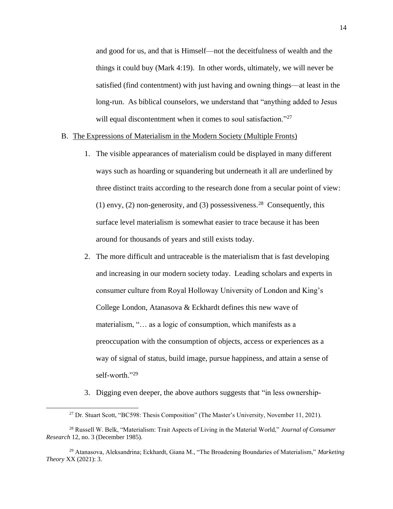and good for us, and that is Himself—not the deceitfulness of wealth and the things it could buy (Mark 4:19). In other words, ultimately, we will never be satisfied (find contentment) with just having and owning things—at least in the long-run. As biblical counselors, we understand that "anything added to Jesus will equal discontentment when it comes to soul satisfaction."<sup>27</sup>

#### <span id="page-18-0"></span>B. The Expressions of Materialism in the Modern Society (Multiple Fronts)

- 1. The visible appearances of materialism could be displayed in many different ways such as hoarding or squandering but underneath it all are underlined by three distinct traits according to the research done from a secular point of view: (1) envy, (2) non-generosity, and (3) possessiveness.<sup>28</sup> Consequently, this surface level materialism is somewhat easier to trace because it has been around for thousands of years and still exists today.
- 2. The more difficult and untraceable is the materialism that is fast developing and increasing in our modern society today. Leading scholars and experts in consumer culture from Royal Holloway University of London and King's College London, Atanasova & Eckhardt defines this new wave of materialism, "… as a logic of consumption, which manifests as a preoccupation with the consumption of objects, access or experiences as a way of signal of status, build image, pursue happiness, and attain a sense of self-worth."29
- 3. Digging even deeper, the above authors suggests that "in less ownership-

<sup>&</sup>lt;sup>27</sup> Dr. Stuart Scott, "BC598: Thesis Composition" (The Master's University, November 11, 2021).

<sup>28</sup> Russell W. Belk, "Materialism: Trait Aspects of Living in the Material World," *Journal of Consumer Research* 12, no. 3 (December 1985).

<sup>29</sup> Atanasova, Aleksandrina; Eckhardt, Giana M., "The Broadening Boundaries of Materialism," *Marketing Theory* XX (2021): 3.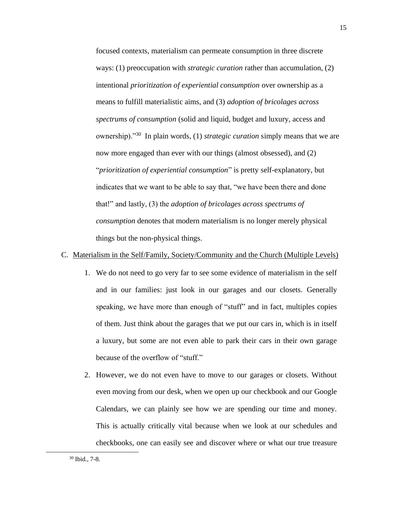focused contexts, materialism can permeate consumption in three discrete ways: (1) preoccupation with *strategic curation* rather than accumulation, (2) intentional *prioritization of experiential consumption* over ownership as a means to fulfill materialistic aims, and (3) *adoption of bricolages across spectrums of consumption* (solid and liquid, budget and luxury, access and ownership)."<sup>30</sup> In plain words, (1) *strategic curation* simply means that we are now more engaged than ever with our things (almost obsessed), and (2) "*prioritization of experiential consumption*" is pretty self-explanatory, but indicates that we want to be able to say that, "we have been there and done that!" and lastly, (3) the *adoption of bricolages across spectrums of consumption* denotes that modern materialism is no longer merely physical things but the non-physical things.

# <span id="page-19-0"></span>C. Materialism in the Self/Family, Society/Community and the Church (Multiple Levels)

- 1. We do not need to go very far to see some evidence of materialism in the self and in our families: just look in our garages and our closets. Generally speaking, we have more than enough of "stuff" and in fact, multiples copies of them. Just think about the garages that we put our cars in, which is in itself a luxury, but some are not even able to park their cars in their own garage because of the overflow of "stuff."
- 2. However, we do not even have to move to our garages or closets. Without even moving from our desk, when we open up our checkbook and our Google Calendars, we can plainly see how we are spending our time and money. This is actually critically vital because when we look at our schedules and checkbooks, one can easily see and discover where or what our true treasure

<sup>30</sup> Ibid., 7-8.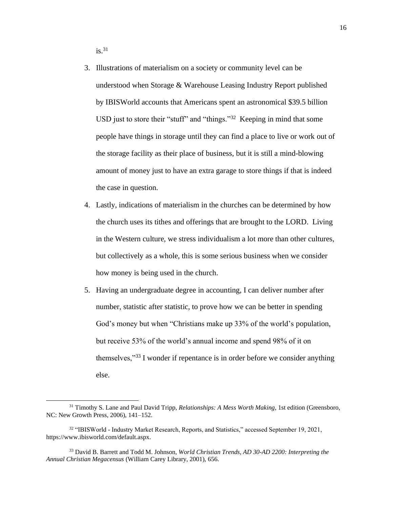$i$ s.<sup>31</sup>

- 3. Illustrations of materialism on a society or community level can be understood when Storage & Warehouse Leasing Industry Report published by IBISWorld accounts that Americans spent an astronomical \$39.5 billion USD just to store their "stuff" and "things."<sup>32</sup> Keeping in mind that some people have things in storage until they can find a place to live or work out of the storage facility as their place of business, but it is still a mind-blowing amount of money just to have an extra garage to store things if that is indeed the case in question.
- 4. Lastly, indications of materialism in the churches can be determined by how the church uses its tithes and offerings that are brought to the LORD. Living in the Western culture, we stress individualism a lot more than other cultures, but collectively as a whole, this is some serious business when we consider how money is being used in the church.
- 5. Having an undergraduate degree in accounting, I can deliver number after number, statistic after statistic, to prove how we can be better in spending God's money but when "Christians make up 33% of the world's population, but receive 53% of the world's annual income and spend 98% of it on themselves,"<sup>33</sup> I wonder if repentance is in order before we consider anything else.

<sup>31</sup> Timothy S. Lane and Paul David Tripp, *Relationships: A Mess Worth Making*, 1st edition (Greensboro, NC: New Growth Press, 2006), 141–152.

<sup>32</sup> "IBISWorld - Industry Market Research, Reports, and Statistics," accessed September 19, 2021, https://www.ibisworld.com/default.aspx.

<sup>33</sup> David B. Barrett and Todd M. Johnson, *World Christian Trends, AD 30-AD 2200: Interpreting the Annual Christian Megacensus* (William Carey Library, 2001), 656.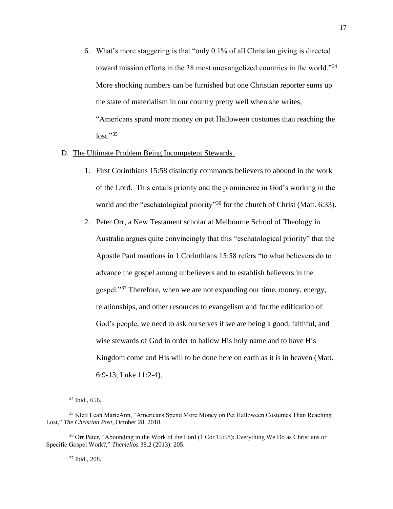- 6. What's more staggering is that "only 0.1% of all Christian giving is directed toward mission efforts in the 38 most unevangelized countries in the world."<sup>34</sup> More shocking numbers can be furnished but one Christian reporter sums up the state of materialism in our country pretty well when she writes, "Americans spend more money on pet Halloween costumes than reaching the  $lost."35$
- <span id="page-21-0"></span>D. The Ultimate Problem Being Incompetent Stewards
	- 1. First Corinthians 15:58 distinctly commands believers to abound in the work of the Lord. This entails priority and the prominence in God's working in the world and the "eschatological priority"<sup>36</sup> for the church of Christ (Matt. 6:33).
	- 2. Peter Orr, a New Testament scholar at Melbourne School of Theology in Australia argues quite convincingly that this "eschatological priority" that the Apostle Paul mentions in 1 Corinthians 15:58 refers "to what believers do to advance the gospel among unbelievers and to establish believers in the gospel."<sup>37</sup> Therefore, when we are not expanding our time, money, energy, relationships, and other resources to evangelism and for the edification of God's people, we need to ask ourselves if we are being a good, faithful, and wise stewards of God in order to hallow His holy name and to have His Kingdom come and His will to be done here on earth as it is in heaven (Matt. 6:9-13; Luke 11:2-4).

<sup>37</sup> Ibid., 208.

<sup>34</sup> Ibid., 656.

<sup>&</sup>lt;sup>35</sup> Klett Leah MarieAnn, "Americans Spend More Money on Pet Halloween Costumes Than Reaching Lost," *The Christian Post*, October 28, 2018.

<sup>&</sup>lt;sup>36</sup> Orr Peter, "Abounding in the Work of the Lord (1 Cor 15:58): Everything We Do as Christians or Specific Gospel Work?," *Themelios* 38.2 (2013): 205.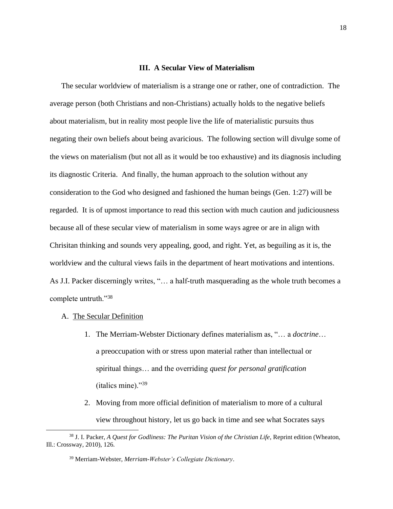#### **III. A Secular View of Materialism**

<span id="page-22-0"></span>The secular worldview of materialism is a strange one or rather, one of contradiction. The average person (both Christians and non-Christians) actually holds to the negative beliefs about materialism, but in reality most people live the life of materialistic pursuits thus negating their own beliefs about being avaricious. The following section will divulge some of the views on materialism (but not all as it would be too exhaustive) and its diagnosis including its diagnostic Criteria. And finally, the human approach to the solution without any consideration to the God who designed and fashioned the human beings (Gen. 1:27) will be regarded. It is of upmost importance to read this section with much caution and judiciousness because all of these secular view of materialism in some ways agree or are in align with Chrisitan thinking and sounds very appealing, good, and right. Yet, as beguiling as it is, the worldview and the cultural views fails in the department of heart motivations and intentions. As J.I. Packer discerningly writes, "… a half-truth masquerading as the whole truth becomes a complete untruth."<sup>38</sup>

- <span id="page-22-1"></span>A. The Secular Definition
	- 1. The Merriam-Webster Dictionary defines materialism as, "… a *doctrine*… a preoccupation with or stress upon material rather than intellectual or spiritual things… and the overriding *quest for personal gratification* (italics mine)."<sup>39</sup>
	- 2. Moving from more official definition of materialism to more of a cultural view throughout history, let us go back in time and see what Socrates says

<sup>38</sup> J. I. Packer, *A Quest for Godliness: The Puritan Vision of the Christian Life*, Reprint edition (Wheaton, Ill.: Crossway, 2010), 126.

<sup>39</sup> Merriam-Webster, *Merriam-Webster's Collegiate Dictionary*.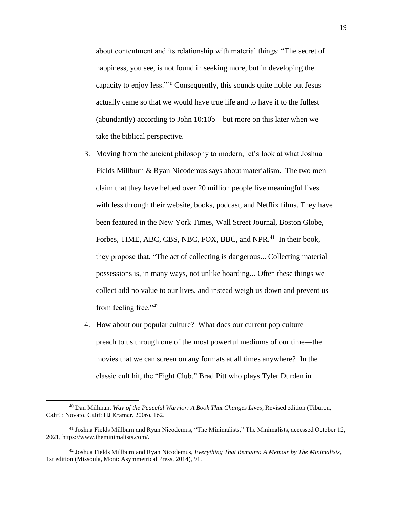about contentment and its relationship with material things: "The secret of happiness, you see, is not found in seeking more, but in developing the capacity to enjoy less."<sup>40</sup> Consequently, this sounds quite noble but Jesus actually came so that we would have true life and to have it to the fullest (abundantly) according to John 10:10b—but more on this later when we take the biblical perspective.

- 3. Moving from the ancient philosophy to modern, let's look at what Joshua Fields Millburn & Ryan Nicodemus says about materialism. The two men claim that they have helped over 20 million people live meaningful lives with less through their website, books, podcast, and Netflix films. They have been featured in the New York Times, Wall Street Journal, Boston Globe, Forbes, TIME, ABC, CBS, NBC, FOX, BBC, and NPR.<sup>41</sup> In their book, they propose that, "The act of collecting is dangerous... Collecting material possessions is, in many ways, not unlike hoarding... Often these things we collect add no value to our lives, and instead weigh us down and prevent us from feeling free."<sup>42</sup>
- 4. How about our popular culture? What does our current pop culture preach to us through one of the most powerful mediums of our time—the movies that we can screen on any formats at all times anywhere? In the classic cult hit, the "Fight Club," Brad Pitt who plays Tyler Durden in

<sup>40</sup> Dan Millman, *Way of the Peaceful Warrior: A Book That Changes Lives*, Revised edition (Tiburon, Calif. : Novato, Calif: HJ Kramer, 2006), 162.

<sup>&</sup>lt;sup>41</sup> Joshua Fields Millburn and Ryan Nicodemus, "The Minimalists," The Minimalists, accessed October 12, 2021, https://www.theminimalists.com/.

<sup>42</sup> Joshua Fields Millburn and Ryan Nicodemus, *Everything That Remains: A Memoir by The Minimalists*, 1st edition (Missoula, Mont: Asymmetrical Press, 2014), 91.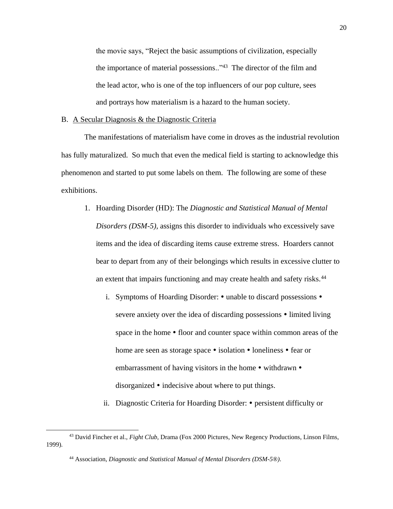the movie says, "Reject the basic assumptions of civilization, especially the importance of material possessions.."<sup>43</sup> The director of the film and the lead actor, who is one of the top influencers of our pop culture, sees and portrays how materialism is a hazard to the human society.

### <span id="page-24-0"></span>B. A Secular Diagnosis & the Diagnostic Criteria

The manifestations of materialism have come in droves as the industrial revolution has fully maturalized. So much that even the medical field is starting to acknowledge this phenomenon and started to put some labels on them. The following are some of these exhibitions.

- 1. Hoarding Disorder (HD): The *Diagnostic and Statistical Manual of Mental Disorders (DSM-5),* assigns this disorder to individuals who excessively save items and the idea of discarding items cause extreme stress. Hoarders cannot bear to depart from any of their belongings which results in excessive clutter to an extent that impairs functioning and may create health and safety risks.<sup>44</sup>
	- i. Symptoms of Hoarding Disorder:  $\bullet$  unable to discard possessions  $\bullet$ severe anxiety over the idea of discarding possessions  $\bullet$  limited living space in the home  $\bullet$  floor and counter space within common areas of the home are seen as storage space  $\bullet$  isolation  $\bullet$  loneliness  $\bullet$  fear or embarrassment of having visitors in the home  $\bullet$  withdrawn  $\bullet$ disorganized  $\bullet$  indecisive about where to put things.
	- ii. Diagnostic Criteria for Hoarding Disorder: persistent difficulty or

<sup>43</sup> David Fincher et al., *Fight Club*, Drama (Fox 2000 Pictures, New Regency Productions, Linson Films, 1999).

<sup>44</sup> Association, *Diagnostic and Statistical Manual of Mental Disorders (DSM-5®)*.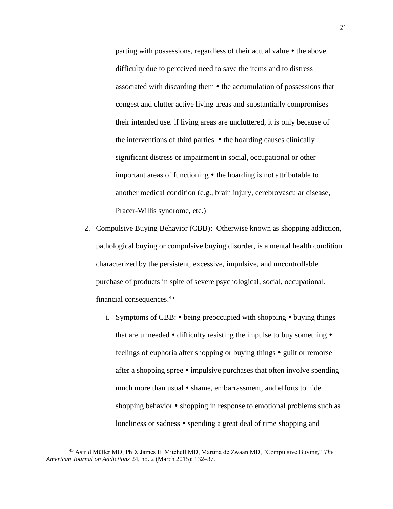parting with possessions, regardless of their actual value  $\bullet$  the above difficulty due to perceived need to save the items and to distress associated with discarding them  $\bullet$  the accumulation of possessions that congest and clutter active living areas and substantially compromises their intended use. if living areas are uncluttered, it is only because of the interventions of third parties.  $\bullet$  the hoarding causes clinically significant distress or impairment in social, occupational or other important areas of functioning  $\bullet$  the hoarding is not attributable to another medical condition (e.g., brain injury, cerebrovascular disease, Pracer-Willis syndrome, etc.)

- 2. Compulsive Buying Behavior (CBB): Otherwise known as shopping addiction, pathological buying or compulsive buying disorder, is a mental health condition characterized by the persistent, excessive, impulsive, and uncontrollable purchase of products in spite of severe psychological, social, occupational, financial consequences. 45
	- i. Symptoms of CBB:  $\bullet$  being preoccupied with shopping  $\bullet$  buying things that are unneeded  $\bullet$  difficulty resisting the impulse to buy something  $\bullet$ feelings of euphoria after shopping or buying things  $\bullet$  guilt or remorse after a shopping spree  $\bullet$  impulsive purchases that often involve spending much more than usual  $\bullet$  shame, embarrassment, and efforts to hide shopping behavior  $\bullet$  shopping in response to emotional problems such as loneliness or sadness • spending a great deal of time shopping and

<sup>45</sup> Astrid Müller MD, PhD, James E. Mitchell MD, Martina de Zwaan MD, "Compulsive Buying," *The American Journal on Addictions* 24, no. 2 (March 2015): 132–37.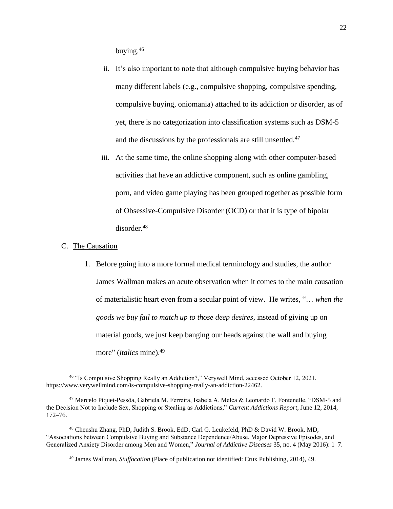buying.<sup>46</sup>

- ii. It's also important to note that although compulsive buying behavior has many different labels (e.g., compulsive shopping, compulsive spending, compulsive buying, oniomania) attached to its addiction or disorder, as of yet, there is no categorization into classification systems such as DSM-5 and the discussions by the professionals are still unsettled. 47
- iii. At the same time, the online shopping along with other computer-based activities that have an addictive component, such as online gambling, porn, and video game playing has been grouped together as possible form of Obsessive-Compulsive Disorder (OCD) or that it is type of bipolar disorder. 48

# <span id="page-26-0"></span>C. The Causation

1. Before going into a more formal medical terminology and studies, the author James Wallman makes an acute observation when it comes to the main causation of materialistic heart even from a secular point of view. He writes, "… *when the goods we buy fail to match up to those deep desires*, instead of giving up on material goods, we just keep banging our heads against the wall and buying more" (*italics* mine).<sup>49</sup>

<sup>46</sup> "Is Compulsive Shopping Really an Addiction?," Verywell Mind, accessed October 12, 2021, https://www.verywellmind.com/is-compulsive-shopping-really-an-addiction-22462.

<sup>47</sup> Marcelo Piquet-Pessôa, Gabriela M. Ferreira, Isabela A. Melca & Leonardo F. Fontenelle, "DSM-5 and the Decision Not to Include Sex, Shopping or Stealing as Addictions," *Current Addictions Report*, June 12, 2014, 172–76.

<sup>48</sup> Chenshu Zhang, PhD, Judith S. Brook, EdD, Carl G. Leukefeld, PhD & David W. Brook, MD, "Associations between Compulsive Buying and Substance Dependence/Abuse, Major Depressive Episodes, and Generalized Anxiety Disorder among Men and Women," *Journal of Addictive Diseases* 35, no. 4 (May 2016): 1–7.

<sup>49</sup> James Wallman, *Stuffocation* (Place of publication not identified: Crux Publishing, 2014), 49.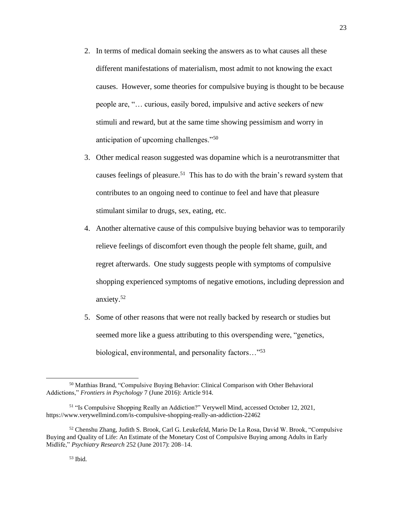- 2. In terms of medical domain seeking the answers as to what causes all these different manifestations of materialism, most admit to not knowing the exact causes. However, some theories for compulsive buying is thought to be because people are, "… curious, easily bored, impulsive and active seekers of new stimuli and reward, but at the same time showing pessimism and worry in anticipation of upcoming challenges."<sup>50</sup>
- 3. Other medical reason suggested was dopamine which is a neurotransmitter that causes feelings of pleasure.<sup>51</sup> This has to do with the brain's reward system that contributes to an ongoing need to continue to feel and have that pleasure stimulant similar to drugs, sex, eating, etc.
- 4. Another alternative cause of this compulsive buying behavior was to temporarily relieve feelings of discomfort even though the people felt shame, guilt, and regret afterwards. One study suggests people with symptoms of compulsive shopping experienced symptoms of negative emotions, including depression and anxiety.<sup>52</sup>
- 5. Some of other reasons that were not really backed by research or studies but seemed more like a guess attributing to this overspending were, "genetics, biological, environmental, and personality factors…"<sup>53</sup>

<sup>50</sup> Matthias Brand, "Compulsive Buying Behavior: Clinical Comparison with Other Behavioral Addictions," *Frontiers in Psychology* 7 (June 2016): Article 914.

<sup>51</sup> "Is Compulsive Shopping Really an Addiction?" Verywell Mind, accessed October 12, 2021, <https://www.verywellmind.com/is-compulsive-shopping-really-an-addiction-22462>

<sup>52</sup> Chenshu Zhang, Judith S. Brook, Carl G. Leukefeld, Mario De La Rosa, David W. Brook, "Compulsive Buying and Quality of Life: An Estimate of the Monetary Cost of Compulsive Buying among Adults in Early Midlife," *Psychiatry Research* 252 (June 2017): 208–14.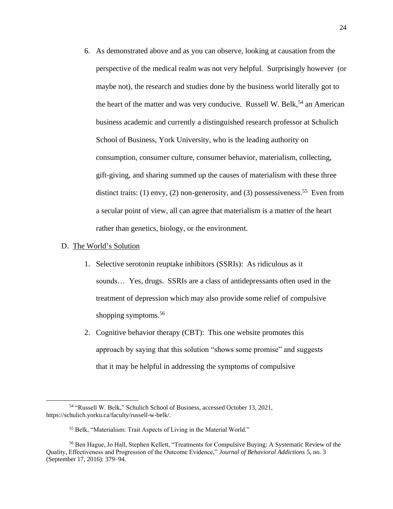6. As demonstrated above and as you can observe, looking at causation from the perspective of the medical realm was not very helpful. Surprisingly however (or maybe not), the research and studies done by the business world literally got to the heart of the matter and was very conducive. Russell W. Belk,<sup>54</sup> an American business academic and currently a distinguished research professor at Schulich School of Business, York University, who is the leading authority on consumption, consumer culture, consumer behavior, materialism, collecting, gift-giving, and sharing summed up the causes of materialism with these three distinct traits: (1) envy, (2) non-generosity, and (3) possessiveness.<sup>55</sup> Even from a secular point of view, all can agree that materialism is a matter of the heart rather than genetics, biology, or the environment.

#### <span id="page-28-0"></span>D. The World's Solution

- 1. Selective serotonin reuptake inhibitors (SSRIs): As ridiculous as it sounds... Yes, drugs. SSRIs are a class of antidepressants often used in the treatment of depression which may also provide some relief of compulsive shopping symptoms.<sup>56</sup>
- 2. Cognitive behavior therapy (CBT): This one website promotes this approach by saying that this solution "shows some promise" and suggests that it may be helpful in addressing the symptoms of compulsive

<sup>54</sup> "Russell W. Belk," Schulich School of Business, accessed October 13, 2021, https://schulich.yorku.ca/faculty/russell-w-belk/.

<sup>55</sup> Belk, "Materialism: Trait Aspects of Living in the Material World."

<sup>56</sup> Ben Hague, Jo Hall, Stephen Kellett, "Treatments for Compulsive Buying: A Systematic Review of the Quality, Effectiveness and Progression of the Outcome Evidence," *Journal of Behavioral Addictions* 5, no. 3 (September 17, 2016): 379–94.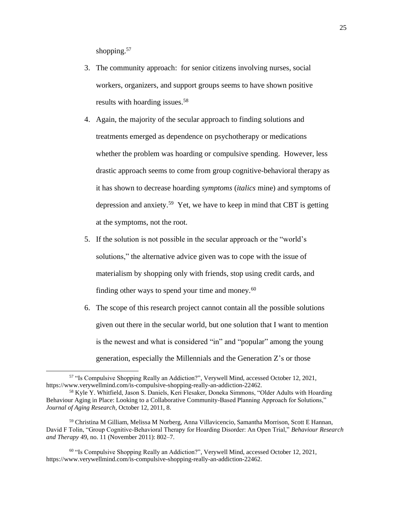shopping.<sup>57</sup>

- 3. The community approach: for senior citizens involving nurses, social workers, organizers, and support groups seems to have shown positive results with hoarding issues.<sup>58</sup>
- 4. Again, the majority of the secular approach to finding solutions and treatments emerged as dependence on psychotherapy or medications whether the problem was hoarding or compulsive spending. However, less drastic approach seems to come from group cognitive-behavioral therapy as it has shown to decrease hoarding *symptoms* (*italics* mine) and symptoms of depression and anxiety.<sup>59</sup> Yet, we have to keep in mind that CBT is getting at the symptoms, not the root.
- 5. If the solution is not possible in the secular approach or the "world's solutions," the alternative advice given was to cope with the issue of materialism by shopping only with friends, stop using credit cards, and finding other ways to spend your time and money.<sup>60</sup>
- 6. The scope of this research project cannot contain all the possible solutions given out there in the secular world, but one solution that I want to mention is the newest and what is considered "in" and "popular" among the young generation, especially the Millennials and the Generation Z's or those

<sup>57</sup> "Is Compulsive Shopping Really an Addiction?", Verywell Mind, accessed October 12, 2021, https://www.verywellmind.com/is-compulsive-shopping-really-an-addiction-22462.

<sup>58</sup> Kyle Y. Whitfield, Jason S. Daniels, Keri Flesaker, Doneka Simmons, "Older Adults with Hoarding Behaviour Aging in Place: Looking to a Collaborative Community-Based Planning Approach for Solutions," *Journal of Aging Research*, October 12, 2011, 8.

<sup>59</sup> Christina M Gilliam, Melissa M Norberg, Anna Villavicencio, Samantha Morrison, Scott E Hannan, David F Tolin, "Group Cognitive-Behavioral Therapy for Hoarding Disorder: An Open Trial," *Behaviour Research and Therapy* 49, no. 11 (November 2011): 802–7.

<sup>60</sup> "Is Compulsive Shopping Really an Addiction?", Verywell Mind, accessed October 12, 2021, https://www.verywellmind.com/is-compulsive-shopping-really-an-addiction-22462.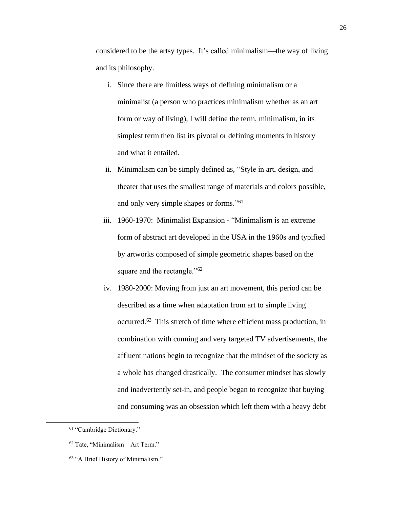considered to be the artsy types. It's called minimalism—the way of living and its philosophy.

- i. Since there are limitless ways of defining minimalism or a minimalist (a person who practices minimalism whether as an art form or way of living), I will define the term, minimalism, in its simplest term then list its pivotal or defining moments in history and what it entailed.
- ii. Minimalism can be simply defined as, "Style in art, design, and theater that uses the smallest range of materials and colors possible, and only very simple shapes or forms."<sup>61</sup>
- iii. 1960-1970: Minimalist Expansion "Minimalism is an extreme form of abstract art developed in the USA in the 1960s and typified by artworks composed of simple geometric shapes based on the square and the rectangle."<sup>62</sup>
- iv. 1980-2000: Moving from just an art movement, this period can be described as a time when adaptation from art to simple living occurred.<sup>63</sup> This stretch of time where efficient mass production, in combination with cunning and very targeted TV advertisements, the affluent nations begin to recognize that the mindset of the society as a whole has changed drastically. The consumer mindset has slowly and inadvertently set-in, and people began to recognize that buying and consuming was an obsession which left them with a heavy debt

<sup>61</sup> "Cambridge Dictionary."

 $62$  Tate, "Minimalism – Art Term."

<sup>63</sup> "A Brief History of Minimalism."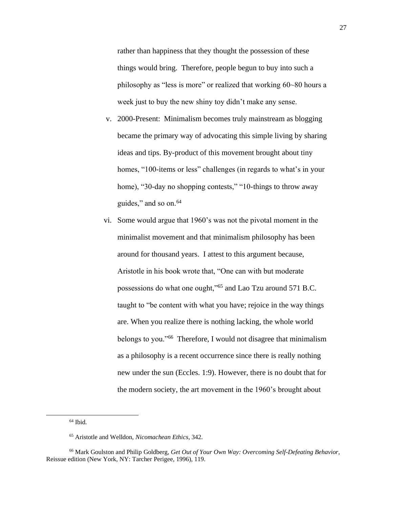rather than happiness that they thought the possession of these things would bring. Therefore, people begun to buy into such a philosophy as "less is more" or realized that working 60~80 hours a week just to buy the new shiny toy didn't make any sense.

- v. 2000-Present: Minimalism becomes truly mainstream as blogging became the primary way of advocating this simple living by sharing ideas and tips. By-product of this movement brought about tiny homes, "100-items or less" challenges (in regards to what's in your home), "30-day no shopping contests," "10-things to throw away guides," and so on. $64$
- vi. Some would argue that 1960's was not the pivotal moment in the minimalist movement and that minimalism philosophy has been around for thousand years. I attest to this argument because, Aristotle in his book wrote that, "One can with but moderate possessions do what one ought,"<sup>65</sup> and Lao Tzu around 571 B.C. taught to "be content with what you have; rejoice in the way things are. When you realize there is nothing lacking, the whole world belongs to you."<sup>66</sup> Therefore, I would not disagree that minimalism as a philosophy is a recent occurrence since there is really nothing new under the sun (Eccles. 1:9). However, there is no doubt that for the modern society, the art movement in the 1960's brought about

 $64$  Ibid.

<sup>65</sup> Aristotle and Welldon, *Nicomachean Ethics*, 342.

<sup>66</sup> Mark Goulston and Philip Goldberg, *Get Out of Your Own Way: Overcoming Self-Defeating Behavior*, Reissue edition (New York, NY: Tarcher Perigee, 1996), 119.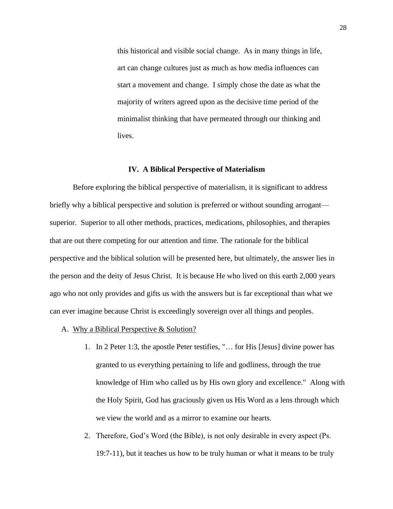this historical and visible social change. As in many things in life, art can change cultures just as much as how media influences can start a movement and change. I simply chose the date as what the majority of writers agreed upon as the decisive time period of the minimalist thinking that have permeated through our thinking and lives.

#### **IV. A Biblical Perspective of Materialism**

<span id="page-32-0"></span>Before exploring the biblical perspective of materialism, it is significant to address briefly why a biblical perspective and solution is preferred or without sounding arrogant superior. Superior to all other methods, practices, medications, philosophies, and therapies that are out there competing for our attention and time. The rationale for the biblical perspective and the biblical solution will be presented here, but ultimately, the answer lies in the person and the deity of Jesus Christ. It is because He who lived on this earth 2,000 years ago who not only provides and gifts us with the answers but is far exceptional than what we can ever imagine because Christ is exceedingly sovereign over all things and peoples.

- <span id="page-32-1"></span>A. Why a Biblical Perspective & Solution?
	- 1. In 2 Peter 1:3, the apostle Peter testifies, "… for His [Jesus] divine power has granted to us everything pertaining to life and godliness, through the true knowledge of Him who called us by His own glory and excellence." Along with the Holy Spirit, God has graciously given us His Word as a lens through which we view the world and as a mirror to examine our hearts.
	- 2. Therefore, God's Word (the Bible), is not only desirable in every aspect (Ps. 19:7-11), but it teaches us how to be truly human or what it means to be truly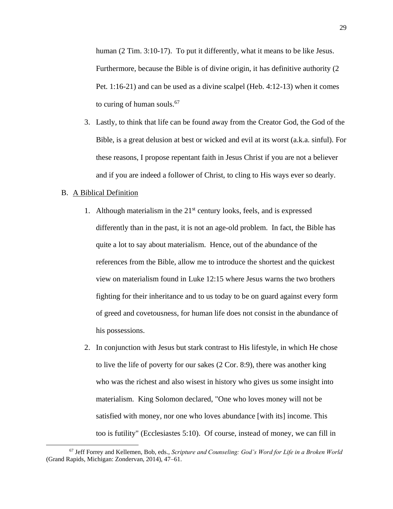human (2 Tim. 3:10-17). To put it differently, what it means to be like Jesus. Furthermore, because the Bible is of divine origin, it has definitive authority (2 Pet. 1:16-21) and can be used as a divine scalpel (Heb. 4:12-13) when it comes to curing of human souls.<sup>67</sup>

3. Lastly, to think that life can be found away from the Creator God, the God of the Bible, is a great delusion at best or wicked and evil at its worst (a.k.a. sinful). For these reasons, I propose repentant faith in Jesus Christ if you are not a believer and if you are indeed a follower of Christ, to cling to His ways ever so dearly.

#### <span id="page-33-0"></span>B. A Biblical Definition

- 1. Although materialism in the  $21<sup>st</sup>$  century looks, feels, and is expressed differently than in the past, it is not an age-old problem. In fact, the Bible has quite a lot to say about materialism. Hence, out of the abundance of the references from the Bible, allow me to introduce the shortest and the quickest view on materialism found in Luke 12:15 where Jesus warns the two brothers fighting for their inheritance and to us today to be on guard against every form of greed and covetousness, for human life does not consist in the abundance of his possessions.
- 2. In conjunction with Jesus but stark contrast to His lifestyle, in which He chose to live the life of poverty for our sakes (2 Cor. 8:9), there was another king who was the richest and also wisest in history who gives us some insight into materialism. King Solomon declared, "One who loves money will not be satisfied with money, nor one who loves abundance [with its] income. This too is futility" (Ecclesiastes 5:10). Of course, instead of money, we can fill in

<sup>67</sup> Jeff Forrey and Kellemen, Bob, eds., *Scripture and Counseling: God's Word for Life in a Broken World* (Grand Rapids, Michigan: Zondervan, 2014), 47–61.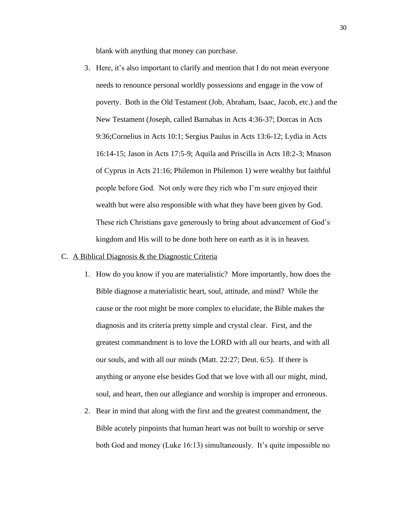blank with anything that money can purchase.

3. Here, it's also important to clarify and mention that I do not mean everyone needs to renounce personal worldly possessions and engage in the vow of poverty. Both in the Old Testament (Job, Abraham, Isaac, Jacob, etc.) and the New Testament (Joseph, called Barnabas in Acts 4:36-37; Dorcas in Acts 9:36;Cornelius in Acts 10:1; Sergius Paulus in Acts 13:6-12; Lydia in Acts 16:14-15; Jason in Acts 17:5-9; Aquila and Priscilla in Acts 18:2-3; Mnason of Cyprus in Acts 21:16; Philemon in Philemon 1) were wealthy but faithful people before God. Not only were they rich who I'm sure enjoyed their wealth but were also responsible with what they have been given by God. These rich Christians gave generously to bring about advancement of God's kingdom and His will to be done both here on earth as it is in heaven.

#### <span id="page-34-0"></span>C. A Biblical Diagnosis & the Diagnostic Criteria

- 1. How do you know if you are materialistic? More importantly, how does the Bible diagnose a materialistic heart, soul, attitude, and mind? While the cause or the root might be more complex to elucidate, the Bible makes the diagnosis and its criteria pretty simple and crystal clear. First, and the greatest commandment is to love the LORD with all our hearts, and with all our souls, and with all our minds (Matt. 22:27; Deut. 6:5). If there is anything or anyone else besides God that we love with all our might, mind, soul, and heart, then our allegiance and worship is improper and erroneous.
- 2. Bear in mind that along with the first and the greatest commandment, the Bible acutely pinpoints that human heart was not built to worship or serve both God and money (Luke 16:13) simultaneously. It's quite impossible no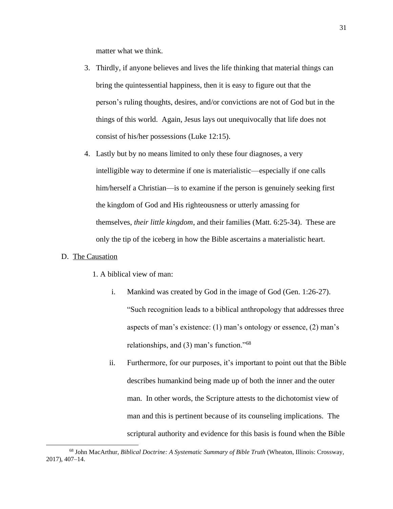matter what we think.

- 3. Thirdly, if anyone believes and lives the life thinking that material things can bring the quintessential happiness, then it is easy to figure out that the person's ruling thoughts, desires, and/or convictions are not of God but in the things of this world. Again, Jesus lays out unequivocally that life does not consist of his/her possessions (Luke 12:15).
- 4. Lastly but by no means limited to only these four diagnoses, a very intelligible way to determine if one is materialistic—especially if one calls him/herself a Christian—is to examine if the person is genuinely seeking first the kingdom of God and His righteousness or utterly amassing for themselves, *their little kingdom*, and their families (Matt. 6:25-34). These are only the tip of the iceberg in how the Bible ascertains a materialistic heart.

# <span id="page-35-0"></span>D. The Causation

- 1. A biblical view of man:
	- i. Mankind was created by God in the image of God (Gen. 1:26-27). "Such recognition leads to a biblical anthropology that addresses three aspects of man's existence: (1) man's ontology or essence, (2) man's relationships, and (3) man's function."<sup>68</sup>
	- ii. Furthermore, for our purposes, it's important to point out that the Bible describes humankind being made up of both the inner and the outer man. In other words, the Scripture attests to the dichotomist view of man and this is pertinent because of its counseling implications. The scriptural authority and evidence for this basis is found when the Bible

<sup>68</sup> John MacArthur, *Biblical Doctrine: A Systematic Summary of Bible Truth* (Wheaton, Illinois: Crossway, 2017), 407–14.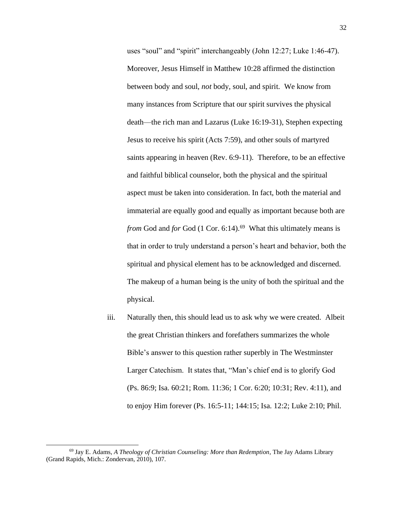uses "soul" and "spirit" interchangeably (John 12:27; Luke 1:46-47). Moreover, Jesus Himself in Matthew 10:28 affirmed the distinction between body and soul, *not* body, soul, and spirit. We know from many instances from Scripture that our spirit survives the physical death—the rich man and Lazarus (Luke 16:19-31), Stephen expecting Jesus to receive his spirit (Acts 7:59), and other souls of martyred saints appearing in heaven (Rev. 6:9-11). Therefore, to be an effective and faithful biblical counselor, both the physical and the spiritual aspect must be taken into consideration. In fact, both the material and immaterial are equally good and equally as important because both are from God and *for* God (1 Cor. 6:14).<sup>69</sup> What this ultimately means is that in order to truly understand a person's heart and behavior, both the spiritual and physical element has to be acknowledged and discerned. The makeup of a human being is the unity of both the spiritual and the physical.

iii. Naturally then, this should lead us to ask why we were created. Albeit the great Christian thinkers and forefathers summarizes the whole Bible's answer to this question rather superbly in The Westminster Larger Catechism. It states that, "Man's chief end is to glorify God [\(Ps. 86:9;](https://biblia.com/bible/kjv1900/Ps.%2086.9) [Isa. 60:21;](https://biblia.com/bible/kjv1900/Isa.%2060.21) [Rom. 11:36;](https://biblia.com/bible/kjv1900/Rom.%2011.36) [1 Cor. 6:20;](https://biblia.com/bible/kjv1900/1%20Cor.%206.20) [10:31;](https://biblia.com/bible/kjv1900/1%20Cor%2010.31) Rev. 4:11), and to enjoy Him forever [\(Ps. 16:5-11;](https://biblia.com/bible/kjv1900/Ps.%2016.5-11) [144:15;](https://biblia.com/bible/kjv1900/Ps%20144.15) [Isa. 12:2;](https://biblia.com/bible/kjv1900/Isa.%2012.2) [Luke 2:10;](https://biblia.com/bible/kjv1900/Luke%202.10) [Phil.](https://biblia.com/bible/kjv1900/Phil.%204.4) 

<sup>69</sup> Jay E. Adams, *A Theology of Christian Counseling: More than Redemption*, The Jay Adams Library (Grand Rapids, Mich.: Zondervan, 2010), 107.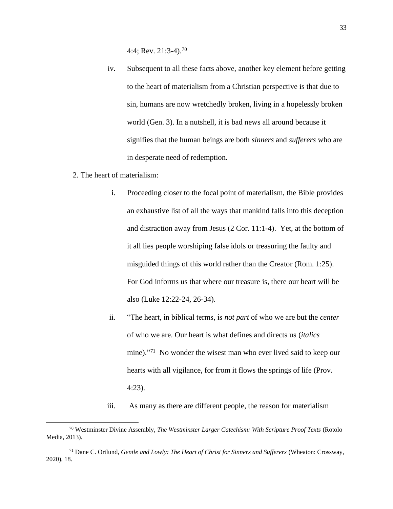[4:4;](https://biblia.com/bible/kjv1900/Phil.%204.4) Rev. 21:3-4).<sup>70</sup>

- iv. Subsequent to all these facts above, another key element before getting to the heart of materialism from a Christian perspective is that due to sin, humans are now wretchedly broken, living in a hopelessly broken world (Gen. 3). In a nutshell, it is bad news all around because it signifies that the human beings are both *sinners* and *sufferers* who are in desperate need of redemption.
- 2. The heart of materialism:
	- i. Proceeding closer to the focal point of materialism, the Bible provides an exhaustive list of all the ways that mankind falls into this deception and distraction away from Jesus (2 Cor. 11:1-4). Yet, at the bottom of it all lies people worshiping false idols or treasuring the faulty and misguided things of this world rather than the Creator (Rom. 1:25). For God informs us that where our treasure is, there our heart will be also (Luke 12:22-24, 26-34).
	- ii. "The heart, in biblical terms, is *not part* of who we are but the *center* of who we are. Our heart is what defines and directs us (*italics* mine)."<sup>71</sup> No wonder the wisest man who ever lived said to keep our hearts with all vigilance, for from it flows the springs of life (Prov. 4:23).

iii. As many as there are different people, the reason for materialism

<sup>70</sup> Westminster Divine Assembly, *The Westminster Larger Catechism: With Scripture Proof Texts* (Rotolo Media, 2013).

<sup>71</sup> Dane C. Ortlund, *Gentle and Lowly: The Heart of Christ for Sinners and Sufferers* (Wheaton: Crossway, 2020), 18.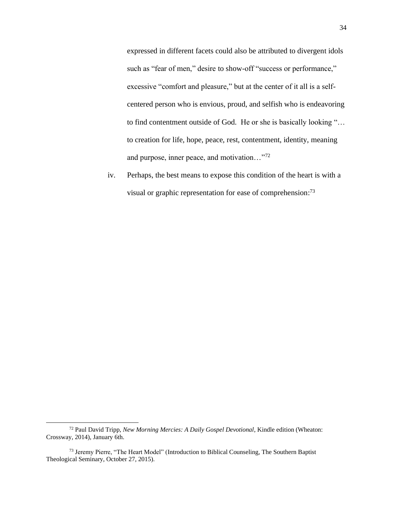expressed in different facets could also be attributed to divergent idols such as "fear of men," desire to show-off "success or performance," excessive "comfort and pleasure," but at the center of it all is a selfcentered person who is envious, proud, and selfish who is endeavoring to find contentment outside of God. He or she is basically looking "… to creation for life, hope, peace, rest, contentment, identity, meaning and purpose, inner peace, and motivation…"<sup>72</sup>

iv. Perhaps, the best means to expose this condition of the heart is with a visual or graphic representation for ease of comprehension:<sup>73</sup>

<sup>72</sup> Paul David Tripp, *New Morning Mercies: A Daily Gospel Devotional*, Kindle edition (Wheaton: Crossway, 2014), January 6th.

<sup>73</sup> Jeremy Pierre, "The Heart Model" (Introduction to Biblical Counseling, The Southern Baptist Theological Seminary, October 27, 2015).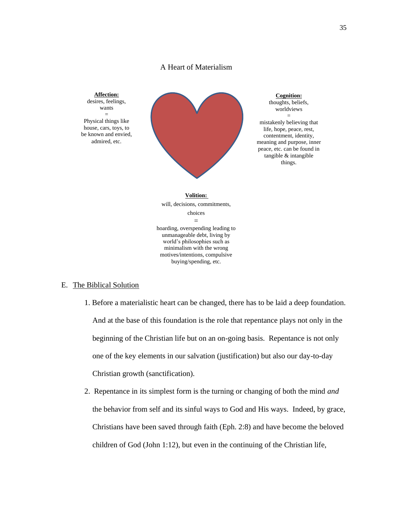# A Heart of Materialism



# <span id="page-39-0"></span>E. The Biblical Solution

- 1. Before a materialistic heart can be changed, there has to be laid a deep foundation. And at the base of this foundation is the role that repentance plays not only in the beginning of the Christian life but on an on-going basis. Repentance is not only one of the key elements in our salvation (justification) but also our day-to-day Christian growth (sanctification).
- 2. Repentance in its simplest form is the turning or changing of both the mind *and*  the behavior from self and its sinful ways to God and His ways. Indeed, by grace, Christians have been saved through faith (Eph. 2:8) and have become the beloved children of God (John 1:12), but even in the continuing of the Christian life,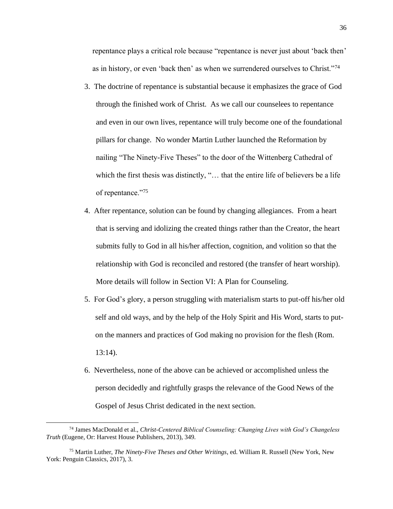repentance plays a critical role because "repentance is never just about 'back then' as in history, or even 'back then' as when we surrendered ourselves to Christ."<sup>74</sup>

- 3. The doctrine of repentance is substantial because it emphasizes the grace of God through the finished work of Christ. As we call our counselees to repentance and even in our own lives, repentance will truly become one of the foundational pillars for change. No wonder Martin Luther launched the Reformation by nailing "The Ninety-Five Theses" to the door of the Wittenberg Cathedral of which the first thesis was distinctly, "... that the entire life of believers be a life of repentance."<sup>75</sup>
- 4. After repentance, solution can be found by changing allegiances. From a heart that is serving and idolizing the created things rather than the Creator, the heart submits fully to God in all his/her affection, cognition, and volition so that the relationship with God is reconciled and restored (the transfer of heart worship). More details will follow in Section VI: A Plan for Counseling.
- 5. For God's glory, a person struggling with materialism starts to put-off his/her old self and old ways, and by the help of the Holy Spirit and His Word, starts to puton the manners and practices of God making no provision for the flesh (Rom. 13:14).
- 6. Nevertheless, none of the above can be achieved or accomplished unless the person decidedly and rightfully grasps the relevance of the Good News of the Gospel of Jesus Christ dedicated in the next section.

<sup>74</sup> James MacDonald et al., *Christ-Centered Biblical Counseling: Changing Lives with God's Changeless Truth* (Eugene, Or: Harvest House Publishers, 2013), 349.

<sup>75</sup> Martin Luther, *The Ninety-Five Theses and Other Writings*, ed. William R. Russell (New York, New York: Penguin Classics, 2017), 3.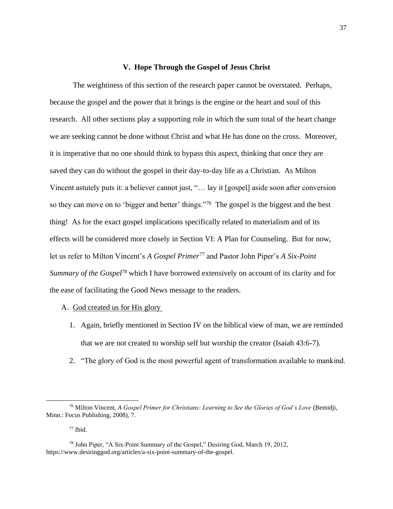#### **V. Hope Through the Gospel of Jesus Christ**

<span id="page-41-0"></span>The weightiness of this section of the research paper cannot be overstated. Perhaps, because the gospel and the power that it brings is the engine or the heart and soul of this research. All other sections play a supporting role in which the sum total of the heart change we are seeking cannot be done without Christ and what He has done on the cross. Moreover, it is imperative that no one should think to bypass this aspect, thinking that once they are saved they can do without the gospel in their day-to-day life as a Christian. As Milton Vincent astutely puts it: a believer cannot just, "… lay it [gospel] aside soon after conversion so they can move on to 'bigger and better' things."<sup>76</sup> The gospel *is* the biggest and the best thing! As for the exact gospel implications specifically related to materialism and of its effects will be considered more closely in Section VI: A Plan for Counseling. But for now, let us refer to Milton Vincent's *A Gospel Primer*<sup>77</sup> and Pastor John Piper's *A Six-Point Summary of the Gospel*<sup>78</sup> which I have borrowed extensively on account of its clarity and for the ease of facilitating the Good News message to the readers.

- <span id="page-41-1"></span>A. God created us for His glory
	- 1. Again, briefly mentioned in Section IV on the biblical view of man, we are reminded that we are not created to worship self but worship the creator (Isaiah 43:6-7).
	- 2. "The glory of God is the most powerful agent of transformation available to mankind.

 $77$  Ibid.

<sup>76</sup> Milton Vincent, *A Gospel Primer for Christians: Learning to See the Glories of God's Love* (Bemidji, Minn.: Focus Publishing, 2008), 7.

<sup>78</sup> John Piper, "A Six-Point Summary of the Gospel," Desiring God, March 19, 2012, https://www.desiringgod.org/articles/a-six-point-summary-of-the-gospel.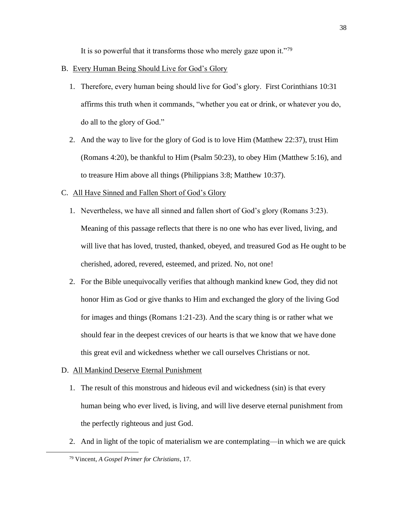It is so powerful that it transforms those who merely gaze upon it."<sup>79</sup>

- <span id="page-42-0"></span>B. Every Human Being Should Live for God's Glory
	- 1. Therefore, every human being should live for God's glory. First Corinthians 10:31 affirms this truth when it commands, "whether you eat or drink, or whatever you do, do all to the glory of God."
	- 2. And the way to live for the glory of God is to love Him (Matthew 22:37), trust Him (Romans 4:20), be thankful to Him (Psalm 50:23), to obey Him (Matthew 5:16), and to treasure Him above all things (Philippians 3:8; Matthew 10:37).
- <span id="page-42-1"></span>C. All Have Sinned and Fallen Short of God's Glory
	- 1. Nevertheless, we have all sinned and fallen short of God's glory (Romans 3:23). Meaning of this passage reflects that there is no one who has ever lived, living, and will live that has loved, trusted, thanked, obeyed, and treasured God as He ought to be cherished, adored, revered, esteemed, and prized. No, not one!
	- 2. For the Bible unequivocally verifies that although mankind knew God, they did not honor Him as God or give thanks to Him and exchanged the glory of the living God for images and things (Romans 1:21-23). And the scary thing is or rather what we should fear in the deepest crevices of our hearts is that we know that we have done this great evil and wickedness whether we call ourselves Christians or not.
- <span id="page-42-2"></span>D. All Mankind Deserve Eternal Punishment
	- 1. The result of this monstrous and hideous evil and wickedness (sin) is that every human being who ever lived, is living, and will live deserve eternal punishment from the perfectly righteous and just God.
	- 2. And in light of the topic of materialism we are contemplating—in which we are quick

<sup>79</sup> Vincent, *A Gospel Primer for Christians*, 17.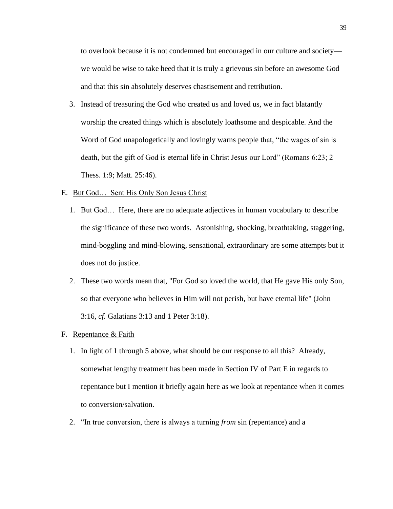to overlook because it is not condemned but encouraged in our culture and society we would be wise to take heed that it is truly a grievous sin before an awesome God and that this sin absolutely deserves chastisement and retribution.

3. Instead of treasuring the God who created us and loved us, we in fact blatantly worship the created things which is absolutely loathsome and despicable. And the Word of God unapologetically and lovingly warns people that, "the wages of sin is death, but the gift of God is eternal life in Christ Jesus our Lord" (Romans 6:23; 2 Thess. 1:9; Matt. 25:46).

# <span id="page-43-0"></span>E. But God… Sent His Only Son Jesus Christ

- 1. But God… Here, there are no adequate adjectives in human vocabulary to describe the significance of these two words. Astonishing, shocking, breathtaking, staggering, mind-boggling and mind-blowing, sensational, extraordinary are some attempts but it does not do justice.
- 2. These two words mean that, "For God so loved the world, that He gave His only Son, so that everyone who believes in Him will not perish, but have eternal life" (John 3:16, *cf.* Galatians 3:13 and 1 Peter 3:18).
- <span id="page-43-1"></span>F. Repentance & Faith
	- 1. In light of 1 through 5 above, what should be our response to all this? Already, somewhat lengthy treatment has been made in Section IV of Part E in regards to repentance but I mention it briefly again here as we look at repentance when it comes to conversion/salvation.
	- 2. "In true conversion, there is always a turning *from* sin (repentance) and a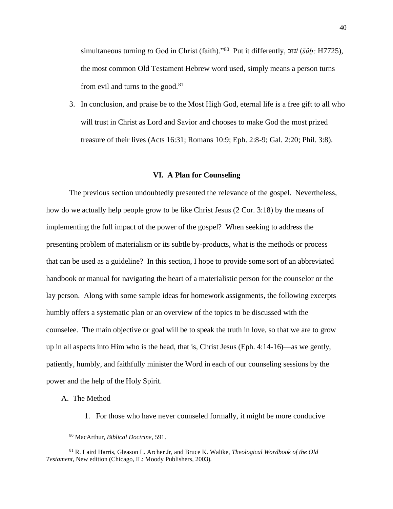simultaneous turning *to* God in Christ (faith)."<sup>80</sup> Put it differently, שׁוּב ( $\delta \hat{u}$ ); H7725), the most common Old Testament Hebrew word used, simply means a person turns from evil and turns to the good.<sup>81</sup>

3. In conclusion, and praise be to the Most High God, eternal life is a free gift to all who will trust in Christ as Lord and Savior and chooses to make God the most prized treasure of their lives (Acts 16:31; Romans 10:9; Eph. 2:8-9; Gal. 2:20; Phil. 3:8).

#### **VI. A Plan for Counseling**

<span id="page-44-0"></span>The previous section undoubtedly presented the relevance of the gospel. Nevertheless, how do we actually help people grow to be like Christ Jesus (2 Cor. 3:18) by the means of implementing the full impact of the power of the gospel? When seeking to address the presenting problem of materialism or its subtle by-products, what is the methods or process that can be used as a guideline? In this section, I hope to provide some sort of an abbreviated handbook or manual for navigating the heart of a materialistic person for the counselor or the lay person. Along with some sample ideas for homework assignments, the following excerpts humbly offers a systematic plan or an overview of the topics to be discussed with the counselee. The main objective or goal will be to speak the truth in love, so that we are to grow up in all aspects into Him who is the head, that is, Christ Jesus (Eph. 4:14-16)—as we gently, patiently, humbly, and faithfully minister the Word in each of our counseling sessions by the power and the help of the Holy Spirit.

- <span id="page-44-1"></span>A. The Method
	- 1. For those who have never counseled formally, it might be more conducive

<sup>80</sup> MacArthur, *Biblical Doctrine*, 591.

<sup>81</sup> R. Laird Harris, Gleason L. Archer Jr, and Bruce K. Waltke, *Theological Wordbook of the Old Testament*, New edition (Chicago, IL: Moody Publishers, 2003).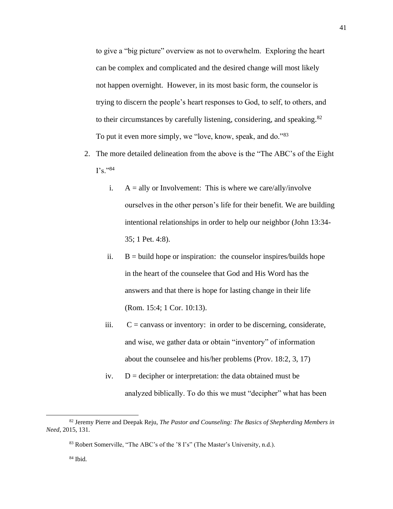to give a "big picture" overview as not to overwhelm. Exploring the heart can be complex and complicated and the desired change will most likely not happen overnight. However, in its most basic form, the counselor is trying to discern the people's heart responses to God, to self, to others, and to their circumstances by carefully listening, considering, and speaking.<sup>82</sup> To put it even more simply, we "love, know, speak, and do."<sup>83</sup>

- 2. The more detailed delineation from the above is the "The ABC's of the Eight  $\Gamma$ s."84
	- i.  $A =$ ally or Involvement: This is where we care/ally/involve ourselves in the other person's life for their benefit. We are building intentional relationships in order to help our neighbor (John 13:34- 35; 1 Pet. 4:8).
	- ii.  $B = \text{build hope or inspiration: the course}$  inspires/builds hope in the heart of the counselee that God and His Word has the answers and that there is hope for lasting change in their life (Rom. 15:4; 1 Cor. 10:13).
	- iii.  $C = \text{cavass or inventory:}$  in order to be discerning, considerate, and wise, we gather data or obtain "inventory" of information about the counselee and his/her problems (Prov. 18:2, 3, 17)
	- iv.  $D =$  decipher or interpretation: the data obtained must be analyzed biblically. To do this we must "decipher" what has been

<sup>82</sup> Jeremy Pierre and Deepak Reju, *The Pastor and Counseling: The Basics of Shepherding Members in Need*, 2015, 131.

<sup>83</sup> Robert Somerville, "The ABC's of the '8 I's" (The Master's University, n.d.).

<sup>84</sup> Ibid.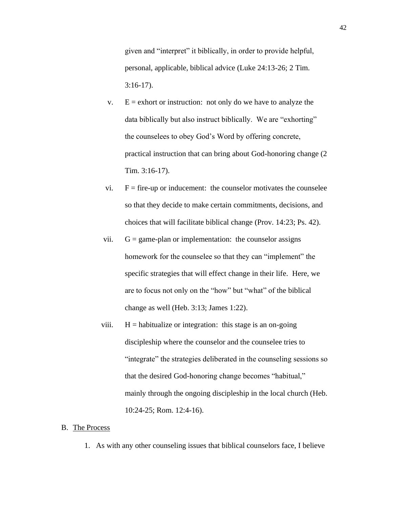given and "interpret" it biblically, in order to provide helpful, personal, applicable, biblical advice (Luke 24:13-26; 2 Tim. 3:16-17).

- v.  $E =$  exhort or instruction: not only do we have to analyze the data biblically but also instruct biblically. We are "exhorting" the counselees to obey God's Word by offering concrete, practical instruction that can bring about God-honoring change (2 Tim. 3:16-17).
- vi.  $F =$  fire-up or inducement: the counselor motivates the counselee so that they decide to make certain commitments, decisions, and choices that will facilitate biblical change (Prov. 14:23; Ps. 42).
- vii.  $G = \text{game-plan or implementation: the course}$  assigns homework for the counselee so that they can "implement" the specific strategies that will effect change in their life. Here, we are to focus not only on the "how" but "what" of the biblical change as well (Heb. 3:13; James 1:22).
- viii.  $H =$  habitualize or integration: this stage is an on-going discipleship where the counselor and the counselee tries to "integrate" the strategies deliberated in the counseling sessions so that the desired God-honoring change becomes "habitual," mainly through the ongoing discipleship in the local church (Heb. 10:24-25; Rom. 12:4-16).

#### <span id="page-46-0"></span>B. The Process

1. As with any other counseling issues that biblical counselors face, I believe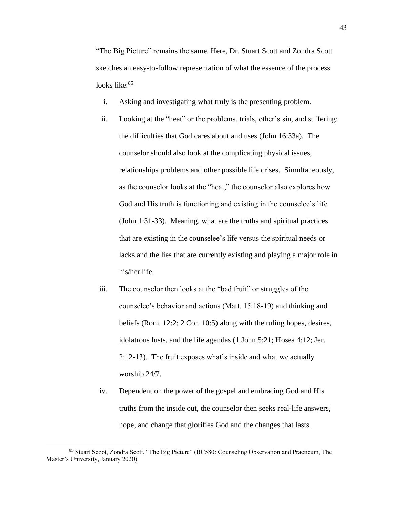"The Big Picture" remains the same. Here, Dr. Stuart Scott and Zondra Scott sketches an easy-to-follow representation of what the essence of the process looks like: 85

- i. Asking and investigating what truly is the presenting problem.
- ii. Looking at the "heat" or the problems, trials, other's sin, and suffering: the difficulties that God cares about and uses (John 16:33a). The counselor should also look at the complicating physical issues, relationships problems and other possible life crises. Simultaneously, as the counselor looks at the "heat," the counselor also explores how God and His truth is functioning and existing in the counselee's life (John 1:31-33). Meaning, what are the truths and spiritual practices that are existing in the counselee's life versus the spiritual needs or lacks and the lies that are currently existing and playing a major role in his/her life.
- iii. The counselor then looks at the "bad fruit" or struggles of the counselee's behavior and actions (Matt. 15:18-19) and thinking and beliefs (Rom. 12:2; 2 Cor. 10:5) along with the ruling hopes, desires, idolatrous lusts, and the life agendas (1 John 5:21; Hosea 4:12; Jer. 2:12-13). The fruit exposes what's inside and what we actually worship 24/7.
- iv. Dependent on the power of the gospel and embracing God and His truths from the inside out, the counselor then seeks real-life answers, hope, and change that glorifies God and the changes that lasts.

<sup>85</sup> Stuart Scoot, Zondra Scott, "The Big Picture" (BC580: Counseling Observation and Practicum, The Master's University, January 2020).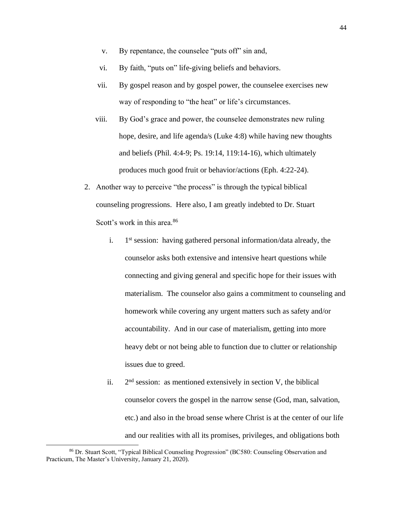- v. By repentance, the counselee "puts off" sin and,
- vi. By faith, "puts on" life-giving beliefs and behaviors.
- vii. By gospel reason and by gospel power, the counselee exercises new way of responding to "the heat" or life's circumstances.
- viii. By God's grace and power, the counselee demonstrates new ruling hope, desire, and life agenda/s (Luke 4:8) while having new thoughts and beliefs (Phil. 4:4-9; Ps. 19:14, 119:14-16), which ultimately produces much good fruit or behavior/actions (Eph. 4:22-24).
- 2. Another way to perceive "the process" is through the typical biblical counseling progressions. Here also, I am greatly indebted to Dr. Stuart Scott's work in this area.<sup>86</sup>
	- $i$ .  $1<sup>st</sup>$  session: having gathered personal information/data already, the counselor asks both extensive and intensive heart questions while connecting and giving general and specific hope for their issues with materialism. The counselor also gains a commitment to counseling and homework while covering any urgent matters such as safety and/or accountability. And in our case of materialism, getting into more heavy debt or not being able to function due to clutter or relationship issues due to greed.
	- ii.  $2<sup>nd</sup>$  session: as mentioned extensively in section V, the biblical counselor covers the gospel in the narrow sense (God, man, salvation, etc.) and also in the broad sense where Christ is at the center of our life and our realities with all its promises, privileges, and obligations both

<sup>86</sup> Dr. Stuart Scott, "Typical Biblical Counseling Progression" (BC580: Counseling Observation and Practicum, The Master's University, January 21, 2020).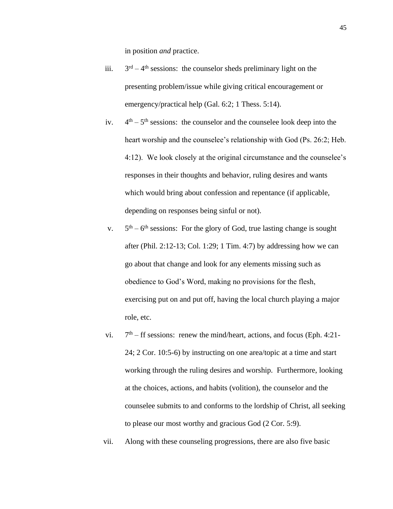in position *and* practice.

- iii. 3  $r<sup>d</sup> - 4<sup>th</sup>$  sessions: the counselor sheds preliminary light on the presenting problem/issue while giving critical encouragement or emergency/practical help (Gal. 6:2; 1 Thess. 5:14).
- $iv.$  $<sup>th</sup> - 5<sup>th</sup>$  sessions: the counselor and the counselee look deep into the</sup> heart worship and the counselee's relationship with God (Ps. 26:2; Heb. 4:12). We look closely at the original circumstance and the counselee's responses in their thoughts and behavior, ruling desires and wants which would bring about confession and repentance (if applicable, depending on responses being sinful or not).
- $V_{\bullet}$  $<sup>th</sup> - 6<sup>th</sup>$  sessions: For the glory of God, true lasting change is sought</sup> after (Phil. 2:12-13; Col. 1:29; 1 Tim. 4:7) by addressing how we can go about that change and look for any elements missing such as obedience to God's Word, making no provisions for the flesh, exercising put on and put off, having the local church playing a major role, etc.
- vi.  $7<sup>th</sup>$  – ff sessions: renew the mind/heart, actions, and focus (Eph. 4:21-24; 2 Cor. 10:5-6) by instructing on one area/topic at a time and start working through the ruling desires and worship. Furthermore, looking at the choices, actions, and habits (volition), the counselor and the counselee submits to and conforms to the lordship of Christ, all seeking to please our most worthy and gracious God (2 Cor. 5:9).
- vii. Along with these counseling progressions, there are also five basic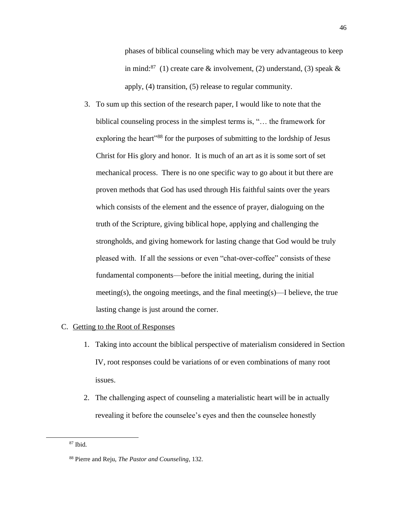phases of biblical counseling which may be very advantageous to keep in mind:<sup>87</sup> (1) create care & involvement, (2) understand, (3) speak & apply, (4) transition, (5) release to regular community.

3. To sum up this section of the research paper, I would like to note that the biblical counseling process in the simplest terms is, "… the framework for exploring the heart"<sup>88</sup> for the purposes of submitting to the lordship of Jesus Christ for His glory and honor. It is much of an art as it is some sort of set mechanical process. There is no one specific way to go about it but there are proven methods that God has used through His faithful saints over the years which consists of the element and the essence of prayer, dialoguing on the truth of the Scripture, giving biblical hope, applying and challenging the strongholds, and giving homework for lasting change that God would be truly pleased with. If all the sessions or even "chat-over-coffee" consists of these fundamental components—before the initial meeting, during the initial meeting(s), the ongoing meetings, and the final meeting(s)—I believe, the true lasting change is just around the corner.

### <span id="page-50-0"></span>C. Getting to the Root of Responses

- 1. Taking into account the biblical perspective of materialism considered in Section IV, root responses could be variations of or even combinations of many root issues.
- 2. The challenging aspect of counseling a materialistic heart will be in actually revealing it before the counselee's eyes and then the counselee honestly

<sup>87</sup> Ibid.

<sup>88</sup> Pierre and Reju, *The Pastor and Counseling*, 132.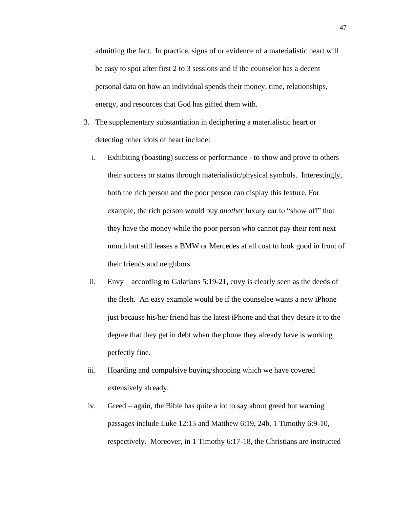admitting the fact. In practice, signs of or evidence of a materialistic heart will be easy to spot after first 2 to 3 sessions and if the counselor has a decent personal data on how an individual spends their money, time, relationships, energy, and resources that God has gifted them with.

- 3. The supplementary substantiation in deciphering a materialistic heart or detecting other idols of heart include:
	- i. Exhibiting (boasting) success or performance to show and prove to others their success or status through materialistic/physical symbols. Interestingly, both the rich person and the poor person can display this feature. For example, the rich person would buy *another* luxury car to "show off" that they have the money while the poor person who cannot pay their rent next month but still leases a BMW or Mercedes at all cost to look good in front of their friends and neighbors.
	- ii. Envy according to Galatians 5:19-21, envy is clearly seen as the deeds of the flesh. An easy example would be if the counselee wants a new iPhone just because his/her friend has the latest iPhone and that they desire it to the degree that they get in debt when the phone they already have is working perfectly fine.
- iii. Hoarding and compulsive buying/shopping which we have covered extensively already.
- iv. Greed again, the Bible has quite a lot to say about greed but warning passages include Luke 12:15 and Matthew 6:19, 24b, 1 Timothy 6:9-10, respectively. Moreover, in 1 Timothy 6:17-18, the Christians are instructed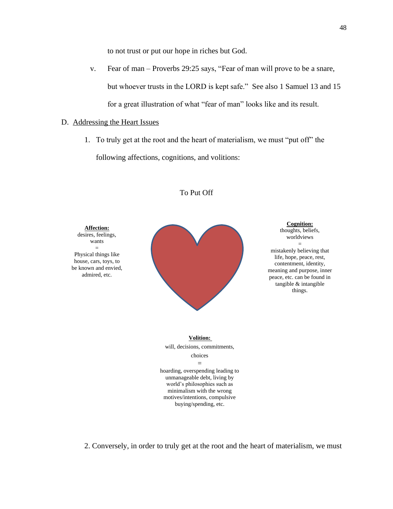to not trust or put our hope in riches but God.

- v. Fear of man [Proverbs 29:25](https://biblia.com/bible/esv/Prov%2029.25) says, "Fear of man will prove to be a snare, but whoever trusts in the LORD is kept safe." See also 1 Samuel 13 and 15 for a great illustration of what "fear of man" looks like and its result.
- <span id="page-52-0"></span>D. Addressing the Heart Issues
	- 1. To truly get at the root and the heart of materialism, we must "put off" the following affections, cognitions, and volitions:



# To Put Off

2. Conversely, in order to truly get at the root and the heart of materialism, we must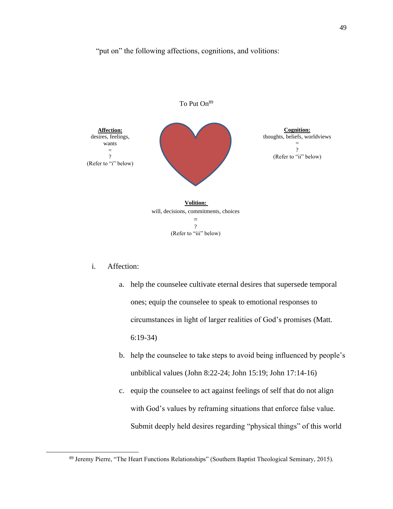# "put on" the following affections, cognitions, and volitions:



# i. Affection:

- a. help the counselee cultivate eternal desires that supersede temporal ones; equip the counselee to speak to emotional responses to circumstances in light of larger realities of God's promises (Matt. 6:19-34)
- b. help the counselee to take steps to avoid being influenced by people's unbiblical values (John 8:22-24; John 15:19; John 17:14-16)
- c. equip the counselee to act against feelings of self that do not align with God's values by reframing situations that enforce false value. Submit deeply held desires regarding "physical things" of this world

<sup>89</sup> Jeremy Pierre, "The Heart Functions Relationships" (Southern Baptist Theological Seminary, 2015).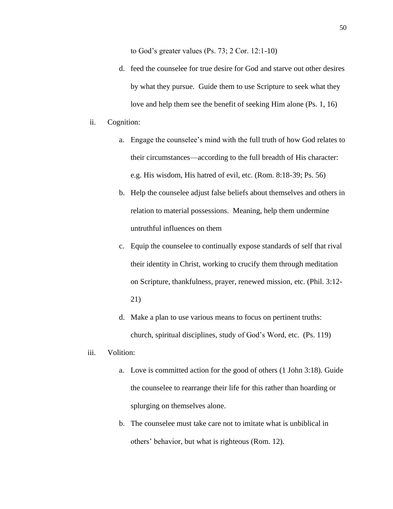to God's greater values (Ps. 73; 2 Cor. 12:1-10)

d. feed the counselee for true desire for God and starve out other desires by what they pursue. Guide them to use Scripture to seek what they love and help them see the benefit of seeking Him alone (Ps. 1, 16)

# ii. Cognition:

- a. Engage the counselee's mind with the full truth of how God relates to their circumstances—according to the full breadth of His character: e.g. His wisdom, His hatred of evil, etc. (Rom. 8:18-39; Ps. 56)
- b. Help the counselee adjust false beliefs about themselves and others in relation to material possessions. Meaning, help them undermine untruthful influences on them
- c. Equip the counselee to continually expose standards of self that rival their identity in Christ, working to crucify them through meditation on Scripture, thankfulness, prayer, renewed mission, etc. (Phil. 3:12- 21)
- d. Make a plan to use various means to focus on pertinent truths: church, spiritual disciplines, study of God's Word, etc. (Ps. 119)
- iii. Volition:
	- a. Love is committed action for the good of others (1 John 3:18). Guide the counselee to rearrange their life for this rather than hoarding or splurging on themselves alone.
	- b. The counselee must take care not to imitate what is unbiblical in others' behavior, but what is righteous (Rom. 12).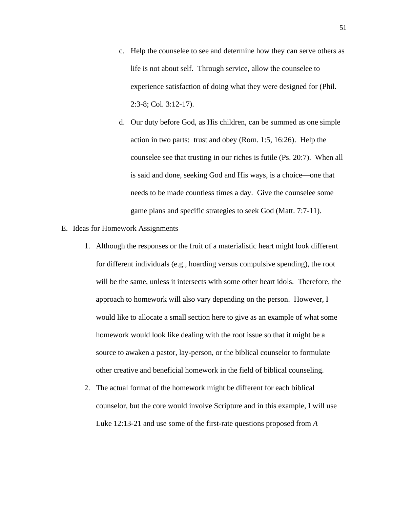- c. Help the counselee to see and determine how they can serve others as life is not about self. Through service, allow the counselee to experience satisfaction of doing what they were designed for (Phil. 2:3-8; Col. 3:12-17).
- d. Our duty before God, as His children, can be summed as one simple action in two parts: trust and obey (Rom. 1:5, 16:26). Help the counselee see that trusting in our riches is futile (Ps. 20:7). When all is said and done, seeking God and His ways, is a choice—one that needs to be made countless times a day. Give the counselee some game plans and specific strategies to seek God (Matt. 7:7-11).

# <span id="page-55-0"></span>E. Ideas for Homework Assignments

- 1. Although the responses or the fruit of a materialistic heart might look different for different individuals (e.g., hoarding versus compulsive spending), the root will be the same, unless it intersects with some other heart idols. Therefore, the approach to homework will also vary depending on the person. However, I would like to allocate a small section here to give as an example of what some homework would look like dealing with the root issue so that it might be a source to awaken a pastor, lay-person, or the biblical counselor to formulate other creative and beneficial homework in the field of biblical counseling.
- 2. The actual format of the homework might be different for each biblical counselor, but the core would involve Scripture and in this example, I will use Luke 12:13-21 and use some of the first-rate questions proposed from *A*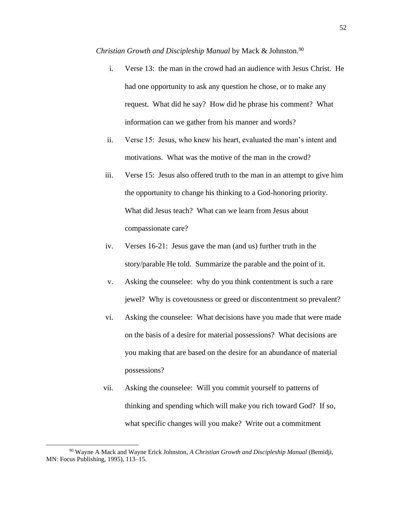*Christian Growth and Discipleship Manual* by Mack & Johnston.<sup>90</sup>

- i. Verse 13: the man in the crowd had an audience with Jesus Christ. He had one opportunity to ask any question he chose, or to make any request. What did he say? How did he phrase his comment? What information can we gather from his manner and words?
- ii. Verse 15: Jesus, who knew his heart, evaluated the man's intent and motivations. What was the motive of the man in the crowd?
- iii. Verse 15: Jesus also offered truth to the man in an attempt to give him the opportunity to change his thinking to a God-honoring priority. What did Jesus teach? What can we learn from Jesus about compassionate care?
- iv. Verses 16-21: Jesus gave the man (and us) further truth in the story/parable He told. Summarize the parable and the point of it.
- v. Asking the counselee: why do you think contentment is such a rare jewel? Why is covetousness or greed or discontentment so prevalent?
- vi. Asking the counselee: What decisions have you made that were made on the basis of a desire for material possessions? What decisions are you making that are based on the desire for an abundance of material possessions?
- vii. Asking the counselee: Will you commit yourself to patterns of thinking and spending which will make you rich toward God? If so, what specific changes will you make? Write out a commitment

<sup>90</sup> Wayne A Mack and Wayne Erick Johnston, *A Christian Growth and Discipleship Manual* (Bemidji, MN: Focus Publishing, 1995), 113–15.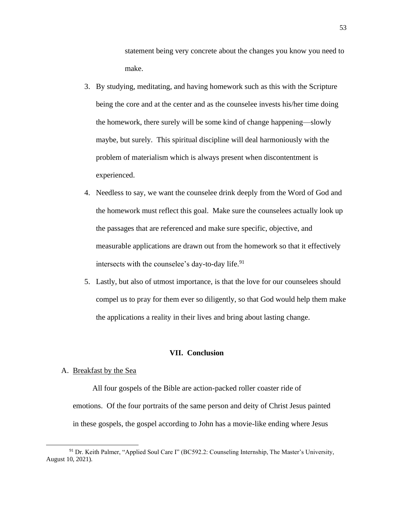statement being very concrete about the changes you know you need to make.

- 3. By studying, meditating, and having homework such as this with the Scripture being the core and at the center and as the counselee invests his/her time doing the homework, there surely will be some kind of change happening—slowly maybe, but surely. This spiritual discipline will deal harmoniously with the problem of materialism which is always present when discontentment is experienced.
- 4. Needless to say, we want the counselee drink deeply from the Word of God and the homework must reflect this goal. Make sure the counselees actually look up the passages that are referenced and make sure specific, objective, and measurable applications are drawn out from the homework so that it effectively intersects with the counselee's day-to-day life.<sup>91</sup>
- 5. Lastly, but also of utmost importance, is that the love for our counselees should compel us to pray for them ever so diligently, so that God would help them make the applications a reality in their lives and bring about lasting change.

# **VII. Conclusion**

#### <span id="page-57-1"></span><span id="page-57-0"></span>A. Breakfast by the Sea

All four gospels of the Bible are action-packed roller coaster ride of emotions. Of the four portraits of the same person and deity of Christ Jesus painted in these gospels, the gospel according to John has a movie-like ending where Jesus

<sup>&</sup>lt;sup>91</sup> Dr. Keith Palmer, "Applied Soul Care I" (BC592.2: Counseling Internship, The Master's University, August 10, 2021).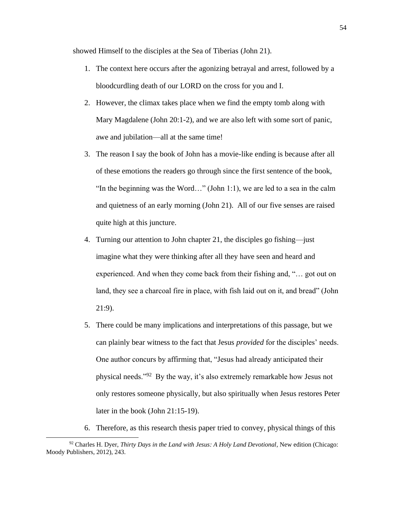showed Himself to the disciples at the Sea of Tiberias (John 21).

- 1. The context here occurs after the agonizing betrayal and arrest, followed by a bloodcurdling death of our LORD on the cross for you and I.
- 2. However, the climax takes place when we find the empty tomb along with Mary Magdalene (John 20:1-2), and we are also left with some sort of panic, awe and jubilation—all at the same time!
- 3. The reason I say the book of John has a movie-like ending is because after all of these emotions the readers go through since the first sentence of the book, "In the beginning was the Word…" (John 1:1), we are led to a sea in the calm and quietness of an early morning (John 21). All of our five senses are raised quite high at this juncture.
- 4. Turning our attention to John chapter 21, the disciples go fishing—just imagine what they were thinking after all they have seen and heard and experienced. And when they come back from their fishing and, "… got out on land, they see a charcoal fire in place, with fish laid out on it, and bread" (John 21:9).
- 5. There could be many implications and interpretations of this passage, but we can plainly bear witness to the fact that Jesus *provided* for the disciples' needs. One author concurs by affirming that, "Jesus had already anticipated their physical needs."<sup>92</sup> By the way, it's also extremely remarkable how Jesus not only restores someone physically, but also spiritually when Jesus restores Peter later in the book (John 21:15-19).
- 6. Therefore, as this research thesis paper tried to convey, physical things of this

<sup>92</sup> Charles H. Dyer, *Thirty Days in the Land with Jesus: A Holy Land Devotional*, New edition (Chicago: Moody Publishers, 2012), 243.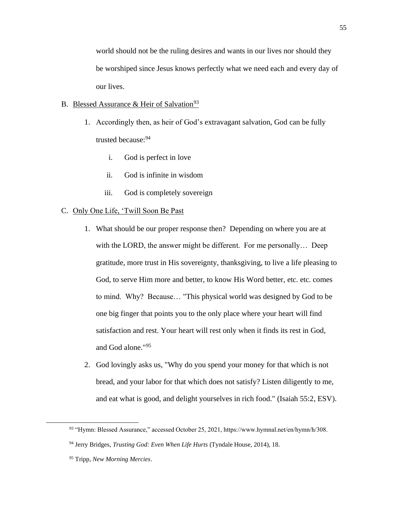world should not be the ruling desires and wants in our lives nor should they be worshiped since Jesus knows perfectly what we need each and every day of our lives.

# <span id="page-59-0"></span>B. Blessed Assurance & Heir of Salvation<sup>93</sup>

- 1. Accordingly then, as heir of God's extravagant salvation, God can be fully trusted because:<sup>94</sup>
	- i. God is perfect in love
	- ii. God is infinite in wisdom
	- iii. God is completely sovereign

# <span id="page-59-1"></span>C. Only One Life, 'Twill Soon Be Past

- 1. What should be our proper response then? Depending on where you are at with the LORD, the answer might be different. For me personally... Deep gratitude, more trust in His sovereignty, thanksgiving, to live a life pleasing to God, to serve Him more and better, to know His Word better, etc. etc. comes to mind. Why? Because… "This physical world was designed by God to be one big finger that points you to the only place where your heart will find satisfaction and rest. Your heart will rest only when it finds its rest in God, and God alone."<sup>95</sup>
- 2. God lovingly asks us, "Why do you spend your money for that which is not bread, and your labor for that which does not satisfy? Listen diligently to me, and eat what is good, and delight yourselves in rich food." (Isaiah 55:2, ESV).

<sup>93</sup> "Hymn: Blessed Assurance," accessed October 25, 2021, https://www.hymnal.net/en/hymn/h/308.

<sup>94</sup> Jerry Bridges, *Trusting God: Even When Life Hurts* (Tyndale House, 2014), 18.

<sup>95</sup> Tripp, *New Morning Mercies*.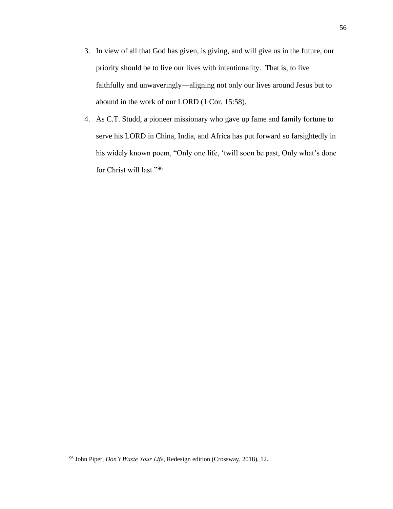- 3. In view of all that God has given, is giving, and will give us in the future, our priority should be to live our lives with intentionality. That is, to live faithfully and unwaveringly—aligning not only our lives around Jesus but to abound in the work of our LORD (1 Cor. 15:58).
- 4. As C.T. Studd, a pioneer missionary who gave up fame and family fortune to serve his LORD in China, India, and Africa has put forward so farsightedly in his widely known poem, "Only one life, 'twill soon be past, Only what's done for Christ will last."<sup>96</sup>

<sup>96</sup> John Piper, *Don't Waste Your Life*, Redesign edition (Crossway, 2018), 12.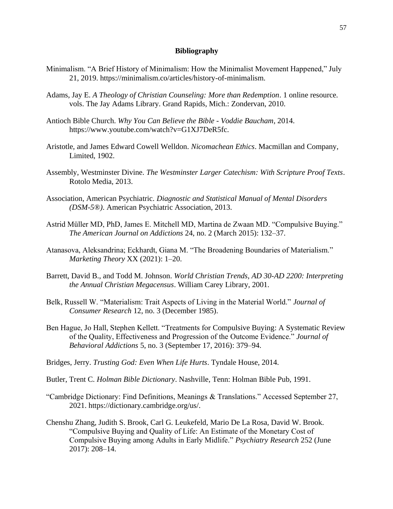# **Bibliography**

- <span id="page-61-0"></span>Minimalism. "A Brief History of Minimalism: How the Minimalist Movement Happened," July 21, 2019. https://minimalism.co/articles/history-of-minimalism.
- Adams, Jay E. *A Theology of Christian Counseling: More than Redemption*. 1 online resource. vols. The Jay Adams Library. Grand Rapids, Mich.: Zondervan, 2010.
- Antioch Bible Church. *Why You Can Believe the Bible - Voddie Baucham*, 2014. https://www.youtube.com/watch?v=G1XJ7DeR5fc.
- Aristotle, and James Edward Cowell Welldon. *Nicomachean Ethics*. Macmillan and Company, Limited, 1902.
- Assembly, Westminster Divine. *The Westminster Larger Catechism: With Scripture Proof Texts*. Rotolo Media, 2013.
- Association, American Psychiatric. *Diagnostic and Statistical Manual of Mental Disorders (DSM-5®)*. American Psychiatric Association, 2013.
- Astrid Müller MD, PhD, James E. Mitchell MD, Martina de Zwaan MD. "Compulsive Buying." *The American Journal on Addictions* 24, no. 2 (March 2015): 132–37.
- Atanasova, Aleksandrina; Eckhardt, Giana M. "The Broadening Boundaries of Materialism." *Marketing Theory* XX (2021): 1–20.
- Barrett, David B., and Todd M. Johnson. *World Christian Trends, AD 30-AD 2200: Interpreting the Annual Christian Megacensus*. William Carey Library, 2001.
- Belk, Russell W. "Materialism: Trait Aspects of Living in the Material World." *Journal of Consumer Research* 12, no. 3 (December 1985).
- Ben Hague, Jo Hall, Stephen Kellett. "Treatments for Compulsive Buying: A Systematic Review of the Quality, Effectiveness and Progression of the Outcome Evidence." *Journal of Behavioral Addictions* 5, no. 3 (September 17, 2016): 379–94.
- Bridges, Jerry. *Trusting God: Even When Life Hurts*. Tyndale House, 2014.
- Butler, Trent C. *Holman Bible Dictionary*. Nashville, Tenn: Holman Bible Pub, 1991.
- "Cambridge Dictionary: Find Definitions, Meanings & Translations." Accessed September 27, 2021. https://dictionary.cambridge.org/us/.
- Chenshu Zhang, Judith S. Brook, Carl G. Leukefeld, Mario De La Rosa, David W. Brook. "Compulsive Buying and Quality of Life: An Estimate of the Monetary Cost of Compulsive Buying among Adults in Early Midlife." *Psychiatry Research* 252 (June 2017): 208–14.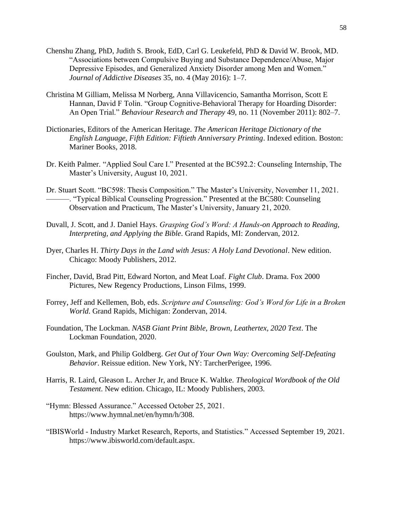- Chenshu Zhang, PhD, Judith S. Brook, EdD, Carl G. Leukefeld, PhD & David W. Brook, MD. "Associations between Compulsive Buying and Substance Dependence/Abuse, Major Depressive Episodes, and Generalized Anxiety Disorder among Men and Women." *Journal of Addictive Diseases* 35, no. 4 (May 2016): 1–7.
- Christina M Gilliam, Melissa M Norberg, Anna Villavicencio, Samantha Morrison, Scott E Hannan, David F Tolin. "Group Cognitive-Behavioral Therapy for Hoarding Disorder: An Open Trial." *Behaviour Research and Therapy* 49, no. 11 (November 2011): 802–7.
- Dictionaries, Editors of the American Heritage. *The American Heritage Dictionary of the English Language, Fifth Edition: Fiftieth Anniversary Printing*. Indexed edition. Boston: Mariner Books, 2018.
- Dr. Keith Palmer. "Applied Soul Care I." Presented at the BC592.2: Counseling Internship, The Master's University, August 10, 2021.
- Dr. Stuart Scott. "BC598: Thesis Composition." The Master's University, November 11, 2021. ———. "Typical Biblical Counseling Progression." Presented at the BC580: Counseling Observation and Practicum, The Master's University, January 21, 2020.
- Duvall, J. Scott, and J. Daniel Hays. *Grasping God's Word: A Hands-on Approach to Reading, Interpreting, and Applying the Bible*. Grand Rapids, MI: Zondervan, 2012.
- Dyer, Charles H. *Thirty Days in the Land with Jesus: A Holy Land Devotional*. New edition. Chicago: Moody Publishers, 2012.
- Fincher, David, Brad Pitt, Edward Norton, and Meat Loaf. *Fight Club*. Drama. Fox 2000 Pictures, New Regency Productions, Linson Films, 1999.
- Forrey, Jeff and Kellemen, Bob, eds. *Scripture and Counseling: God's Word for Life in a Broken World*. Grand Rapids, Michigan: Zondervan, 2014.
- Foundation, The Lockman. *NASB Giant Print Bible, Brown, Leathertex, 2020 Text*. The Lockman Foundation, 2020.
- Goulston, Mark, and Philip Goldberg. *Get Out of Your Own Way: Overcoming Self-Defeating Behavior*. Reissue edition. New York, NY: TarcherPerigee, 1996.
- Harris, R. Laird, Gleason L. Archer Jr, and Bruce K. Waltke. *Theological Wordbook of the Old Testament*. New edition. Chicago, IL: Moody Publishers, 2003.
- "Hymn: Blessed Assurance." Accessed October 25, 2021. https://www.hymnal.net/en/hymn/h/308.
- "IBISWorld Industry Market Research, Reports, and Statistics." Accessed September 19, 2021. https://www.ibisworld.com/default.aspx.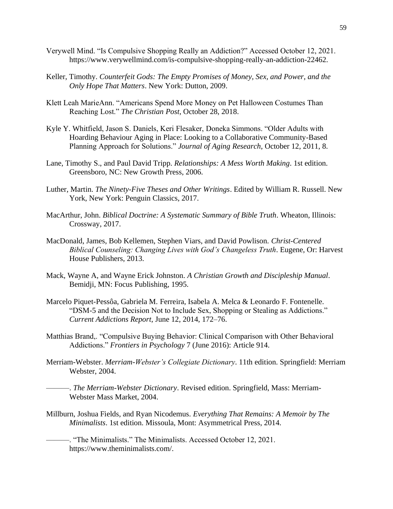- Verywell Mind. "Is Compulsive Shopping Really an Addiction?" Accessed October 12, 2021. https://www.verywellmind.com/is-compulsive-shopping-really-an-addiction-22462.
- Keller, Timothy. *Counterfeit Gods: The Empty Promises of Money, Sex, and Power, and the Only Hope That Matters*. New York: Dutton, 2009.
- Klett Leah MarieAnn. "Americans Spend More Money on Pet Halloween Costumes Than Reaching Lost." *The Christian Post*, October 28, 2018.
- Kyle Y. Whitfield, Jason S. Daniels, Keri Flesaker, Doneka Simmons. "Older Adults with Hoarding Behaviour Aging in Place: Looking to a Collaborative Community-Based Planning Approach for Solutions." *Journal of Aging Research*, October 12, 2011, 8.
- Lane, Timothy S., and Paul David Tripp. *Relationships: A Mess Worth Making*. 1st edition. Greensboro, NC: New Growth Press, 2006.
- Luther, Martin. *The Ninety-Five Theses and Other Writings*. Edited by William R. Russell. New York, New York: Penguin Classics, 2017.
- MacArthur, John. *Biblical Doctrine: A Systematic Summary of Bible Truth*. Wheaton, Illinois: Crossway, 2017.
- MacDonald, James, Bob Kellemen, Stephen Viars, and David Powlison. *Christ-Centered Biblical Counseling: Changing Lives with God's Changeless Truth*. Eugene, Or: Harvest House Publishers, 2013.
- Mack, Wayne A, and Wayne Erick Johnston. *A Christian Growth and Discipleship Manual*. Bemidji, MN: Focus Publishing, 1995.
- Marcelo Piquet-Pessôa, Gabriela M. Ferreira, Isabela A. Melca & Leonardo F. Fontenelle. "DSM-5 and the Decision Not to Include Sex, Shopping or Stealing as Addictions." *Current Addictions Report*, June 12, 2014, 172–76.
- Matthias Brand,. "Compulsive Buying Behavior: Clinical Comparison with Other Behavioral Addictions." *Frontiers in Psychology* 7 (June 2016): Article 914.
- Merriam-Webster. *Merriam-Webster's Collegiate Dictionary*. 11th edition. Springfield: Merriam Webster, 2004.

———. *The Merriam-Webster Dictionary*. Revised edition. Springfield, Mass: Merriam-Webster Mass Market, 2004.

Millburn, Joshua Fields, and Ryan Nicodemus. *Everything That Remains: A Memoir by The Minimalists*. 1st edition. Missoula, Mont: Asymmetrical Press, 2014.

———. "The Minimalists." The Minimalists. Accessed October 12, 2021. https://www.theminimalists.com/.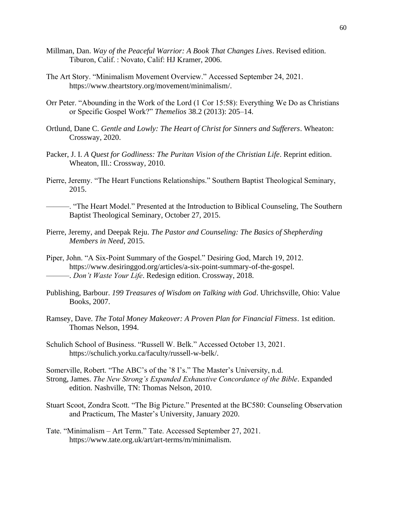- Millman, Dan. *Way of the Peaceful Warrior: A Book That Changes Lives*. Revised edition. Tiburon, Calif. : Novato, Calif: HJ Kramer, 2006.
- The Art Story. "Minimalism Movement Overview." Accessed September 24, 2021. https://www.theartstory.org/movement/minimalism/.
- Orr Peter. "Abounding in the Work of the Lord (1 Cor 15:58): Everything We Do as Christians or Specific Gospel Work?" *Themelios* 38.2 (2013): 205–14.
- Ortlund, Dane C. *Gentle and Lowly: The Heart of Christ for Sinners and Sufferers*. Wheaton: Crossway, 2020.
- Packer, J. I. *A Quest for Godliness: The Puritan Vision of the Christian Life*. Reprint edition. Wheaton, Ill.: Crossway, 2010.
- Pierre, Jeremy. "The Heart Functions Relationships." Southern Baptist Theological Seminary, 2015.

———. "The Heart Model." Presented at the Introduction to Biblical Counseling, The Southern Baptist Theological Seminary, October 27, 2015.

- Pierre, Jeremy, and Deepak Reju. *The Pastor and Counseling: The Basics of Shepherding Members in Need*, 2015.
- Piper, John. "A Six-Point Summary of the Gospel." Desiring God, March 19, 2012. https://www.desiringgod.org/articles/a-six-point-summary-of-the-gospel. ———. *Don't Waste Your Life*. Redesign edition. Crossway, 2018.
- Publishing, Barbour. *199 Treasures of Wisdom on Talking with God*. Uhrichsville, Ohio: Value Books, 2007.
- Ramsey, Dave. *The Total Money Makeover: A Proven Plan for Financial Fitness*. 1st edition. Thomas Nelson, 1994.
- Schulich School of Business. "Russell W. Belk." Accessed October 13, 2021. https://schulich.yorku.ca/faculty/russell-w-belk/.

Somerville, Robert. "The ABC's of the '8 I's." The Master's University, n.d. Strong, James. *The New Strong's Expanded Exhaustive Concordance of the Bible*. Expanded edition. Nashville, TN: Thomas Nelson, 2010.

- Stuart Scoot, Zondra Scott. "The Big Picture." Presented at the BC580: Counseling Observation and Practicum, The Master's University, January 2020.
- Tate. "Minimalism Art Term." Tate. Accessed September 27, 2021. https://www.tate.org.uk/art/art-terms/m/minimalism.